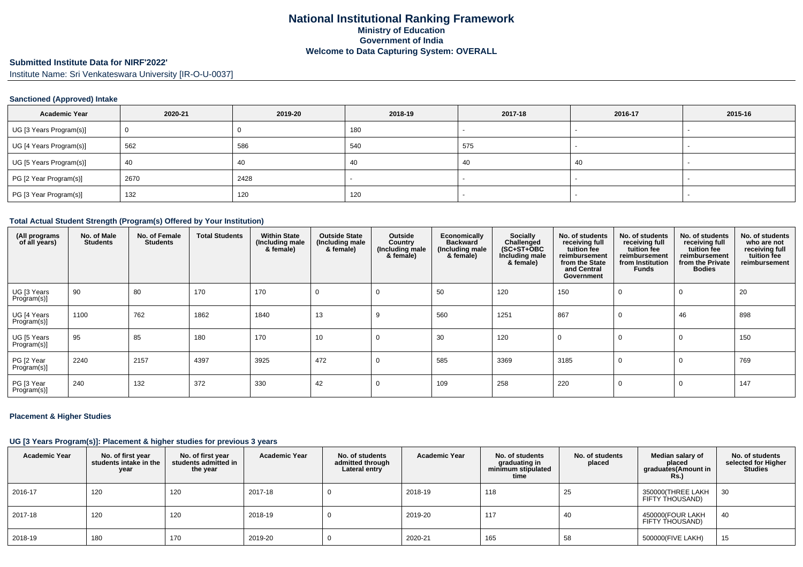## **Submitted Institute Data for NIRF'2022'**

Institute Name: Sri Venkateswara University [IR-O-U-0037]

### **Sanctioned (Approved) Intake**

| <b>Academic Year</b>    | 2020-21 | 2019-20 | 2018-19 | 2017-18 | 2016-17 | 2015-16                  |
|-------------------------|---------|---------|---------|---------|---------|--------------------------|
| UG [3 Years Program(s)] |         |         | 180     |         |         |                          |
| UG [4 Years Program(s)] | 562     | 586     | 540     | 575     |         |                          |
| UG [5 Years Program(s)] | 40      | 40      | 40      | 40      | 40      | $\overline{\phantom{a}}$ |
| PG [2 Year Program(s)]  | 2670    | 2428    |         |         |         |                          |
| PG [3 Year Program(s)]  | 132     | 120     | 120     |         |         |                          |

#### **Total Actual Student Strength (Program(s) Offered by Your Institution)**

| (All programs<br>of all years) | No. of Male<br><b>Students</b> | No. of Female<br><b>Students</b> | <b>Total Students</b> | <b>Within State</b><br>(Including male<br>& female) | <b>Outside State</b><br>(Including male<br>& female) | Outside<br>Country<br>(Including male<br>& female) | <b>Economically</b><br><b>Backward</b><br>(Including male<br>& female) | Socially<br>Challenged<br>$(SC+ST+OBC)$<br>Including male<br>& female) | No. of students<br>receiving full<br>tuition fee<br>reimbursement<br>from the State<br>and Central<br>Government | No. of students<br>receiving full<br>tuition fee<br>reimbursement<br>from Institution<br>Funds | No. of students<br>receiving full<br>tuition fee<br>reimbursement<br>from the Private<br><b>Bodies</b> | No. of students<br>who are not<br>receiving full<br>tuition fee<br>reimbursement |
|--------------------------------|--------------------------------|----------------------------------|-----------------------|-----------------------------------------------------|------------------------------------------------------|----------------------------------------------------|------------------------------------------------------------------------|------------------------------------------------------------------------|------------------------------------------------------------------------------------------------------------------|------------------------------------------------------------------------------------------------|--------------------------------------------------------------------------------------------------------|----------------------------------------------------------------------------------|
| UG [3 Years<br>Program(s)]     | 90                             | 80                               | 170                   | 170                                                 | $\Omega$                                             | $\Omega$                                           | 50                                                                     | 120                                                                    | 150                                                                                                              | 0                                                                                              | $\Omega$                                                                                               | 20                                                                               |
| UG [4 Years<br>Program(s)]     | 1100                           | 762                              | 1862                  | 1840                                                | 13                                                   | 9                                                  | 560                                                                    | 1251                                                                   | 867                                                                                                              | 0                                                                                              | 46                                                                                                     | 898                                                                              |
| UG [5 Years<br>Program(s)]     | 95                             | 85                               | 180                   | 170                                                 | 10                                                   | $\Omega$                                           | 30                                                                     | 120                                                                    | $\Omega$                                                                                                         | $\Omega$                                                                                       | $\Omega$                                                                                               | 150                                                                              |
| PG [2 Year<br>Program(s)]      | 2240                           | 2157                             | 4397                  | 3925                                                | 472                                                  | 0                                                  | 585                                                                    | 3369                                                                   | 3185                                                                                                             | $\mathbf 0$                                                                                    | $\Omega$                                                                                               | 769                                                                              |
| PG [3 Year<br>Program(s)]      | 240                            | 132                              | 372                   | 330                                                 | 42                                                   | $\Omega$                                           | 109                                                                    | 258                                                                    | 220                                                                                                              | $\mathbf 0$                                                                                    | $\Omega$                                                                                               | 147                                                                              |

### **Placement & Higher Studies**

### **UG [3 Years Program(s)]: Placement & higher studies for previous 3 years**

| <b>Academic Year</b> | No. of first year<br>students intake in the<br>year | No. of first year<br>students admitted in<br>the year | <b>Academic Year</b> | No. of students<br>admitted through<br>Lateral entry | <b>Academic Year</b> | No. of students<br>graduating in<br>minimum stipulated<br>time | No. of students<br>placed | Median salary of<br>placed<br>graduates(Amount in<br><b>Rs.)</b> | No. of students<br>selected for Higher<br><b>Studies</b> |
|----------------------|-----------------------------------------------------|-------------------------------------------------------|----------------------|------------------------------------------------------|----------------------|----------------------------------------------------------------|---------------------------|------------------------------------------------------------------|----------------------------------------------------------|
| 2016-17              | 120                                                 | 120                                                   | 2017-18              |                                                      | 2018-19              | 118                                                            | 25                        | 350000(THREE LAKH<br>FIFTY THOUSAND)                             | 30                                                       |
| 2017-18              | 120                                                 | 120                                                   | 2018-19              |                                                      | 2019-20              | 117                                                            | 40                        | 450000(FOUR LAKH<br>FIFTY THOUSAND)                              | 40                                                       |
| 2018-19              | 180                                                 | 170                                                   | 2019-20              |                                                      | 2020-21              | 165                                                            | 58                        | 500000(FIVE LAKH)                                                | 15                                                       |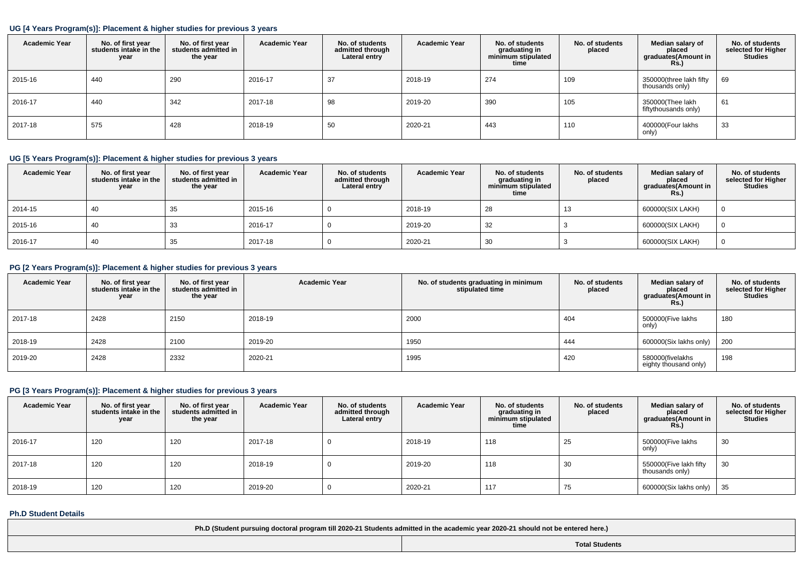## **UG [4 Years Program(s)]: Placement & higher studies for previous 3 years**

| <b>Academic Year</b> | No. of first year<br>students intake in the<br>year | No. of first vear<br>students admitted in<br>the year | <b>Academic Year</b> | No. of students<br>admitted through<br>Lateral entry | <b>Academic Year</b> | No. of students<br>graduating in<br>minimum stipulated<br>time | No. of students<br>placed | Median salary of<br>placed<br>graduates(Amount in<br>Rs. | No. of students<br>selected for Higher<br><b>Studies</b> |
|----------------------|-----------------------------------------------------|-------------------------------------------------------|----------------------|------------------------------------------------------|----------------------|----------------------------------------------------------------|---------------------------|----------------------------------------------------------|----------------------------------------------------------|
| 2015-16              | 440                                                 | 290                                                   | 2016-17              | 37                                                   | 2018-19              | 274                                                            | 109                       | 350000(three lakh fifty<br>thousands only)               | 69                                                       |
| 2016-17              | 440                                                 | 342                                                   | 2017-18              | 98                                                   | 2019-20              | 390                                                            | 105                       | 350000(Thee lakh<br>fiftythousands only)                 | 61                                                       |
| 2017-18              | 575                                                 | 428                                                   | 2018-19              | 50                                                   | 2020-21              | 443                                                            | 110                       | 400000(Four lakhs<br>only)                               | 33                                                       |

### **UG [5 Years Program(s)]: Placement & higher studies for previous 3 years**

| <b>Academic Year</b> | No. of first year<br>students intake in the<br>year | No. of first vear<br>students admitted in<br>the year | <b>Academic Year</b> | No. of students<br>admitted through<br>Lateral entry | <b>Academic Year</b> | No. of students<br>graduating in<br>minimum stipulated<br>time | No. of students<br>placed | Median salary of<br>placed<br>graduates(Amount in<br><b>Rs.)</b> | No. of students<br>selected for Higher<br><b>Studies</b> |
|----------------------|-----------------------------------------------------|-------------------------------------------------------|----------------------|------------------------------------------------------|----------------------|----------------------------------------------------------------|---------------------------|------------------------------------------------------------------|----------------------------------------------------------|
| 2014-15              | 40                                                  | 35                                                    | 2015-16              |                                                      | 2018-19              | -28                                                            | 13                        | 600000(SIX LAKH)                                                 |                                                          |
| 2015-16              | 40                                                  | 33                                                    | 2016-17              |                                                      | 2019-20              | 32                                                             |                           | 600000(SIX LAKH)                                                 |                                                          |
| 2016-17              | 40                                                  | 35                                                    | 2017-18              |                                                      | 2020-21              | 30                                                             |                           | 600000(SIX LAKH)                                                 |                                                          |

### **PG [2 Years Program(s)]: Placement & higher studies for previous 3 years**

| <b>Academic Year</b> | No. of first year<br>students intake in the<br>year | No. of first year<br>students admitted in<br>the year | <b>Academic Year</b> | No. of students graduating in minimum<br>stipulated time | No. of students<br>placed | Median salary of<br>placed<br>graduates(Amount in<br><b>Rs.)</b> | No. of students<br>selected for Higher<br><b>Studies</b> |
|----------------------|-----------------------------------------------------|-------------------------------------------------------|----------------------|----------------------------------------------------------|---------------------------|------------------------------------------------------------------|----------------------------------------------------------|
| 2017-18              | 2428                                                | 2150                                                  | 2018-19              | 2000                                                     | 404                       | 500000(Five lakhs<br>only)                                       | 180                                                      |
| 2018-19              | 2428                                                | 2100                                                  | 2019-20              | 1950                                                     | 444                       | 600000(Six lakhs only)                                           | 200                                                      |
| 2019-20              | 2428                                                | 2332                                                  | 2020-21              | 1995                                                     | 420                       | 580000(fivelakhs<br>eighty thousand only)                        | 198                                                      |

## **PG [3 Years Program(s)]: Placement & higher studies for previous 3 years**

| <b>Academic Year</b> | No. of first year<br>students intake in the<br>year | No. of first year<br>students admitted in<br>the year | <b>Academic Year</b> | No. of students<br>admitted through<br>Lateral entry | <b>Academic Year</b> | No. of students<br>graduating in<br>minimum stipulated<br>time | No. of students<br>placed | Median salary of<br>placed<br>graduates(Amount in<br><b>Rs.)</b> | No. of students<br>selected for Higher<br><b>Studies</b> |
|----------------------|-----------------------------------------------------|-------------------------------------------------------|----------------------|------------------------------------------------------|----------------------|----------------------------------------------------------------|---------------------------|------------------------------------------------------------------|----------------------------------------------------------|
| 2016-17              | 120                                                 | 120                                                   | 2017-18              |                                                      | 2018-19              | 118                                                            | 25                        | 500000(Five lakhs<br>only)                                       | 30                                                       |
| 2017-18              | 120                                                 | 120                                                   | 2018-19              |                                                      | 2019-20              | 118                                                            | 30                        | 550000(Five lakh fifty<br>thousands only)                        | 30                                                       |
| 2018-19              | 120                                                 | 120                                                   | 2019-20              |                                                      | 2020-21              | 117                                                            | 75                        | 600000(Six lakhs only)                                           | 35                                                       |

### **Ph.D Student Details**

**Ph.D (Student pursuing doctoral program till 2020-21 Students admitted in the academic year 2020-21 should not be entered here.)**

**Total Students**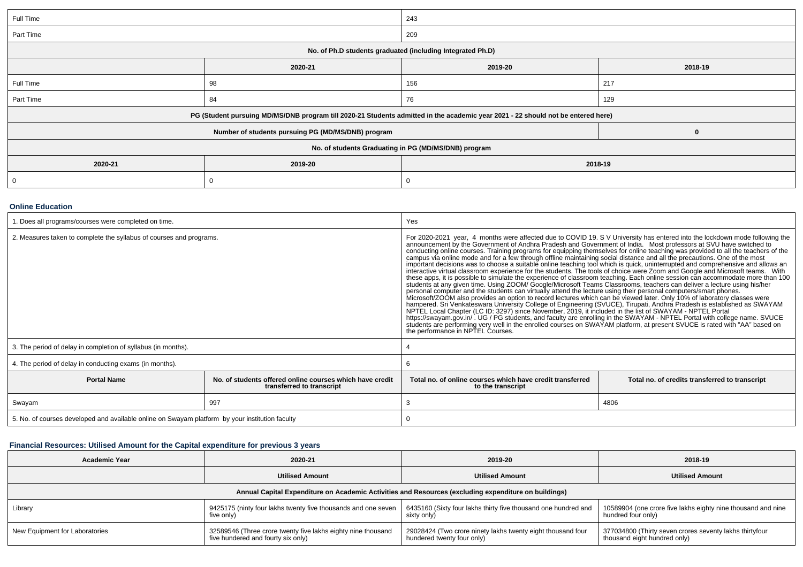| Full Time                                            |                                                                                                                                  | 243 |          |  |  |  |
|------------------------------------------------------|----------------------------------------------------------------------------------------------------------------------------------|-----|----------|--|--|--|
| Part Time                                            |                                                                                                                                  | 209 |          |  |  |  |
|                                                      | No. of Ph.D students graduated (including Integrated Ph.D)                                                                       |     |          |  |  |  |
|                                                      | 2018-19                                                                                                                          |     |          |  |  |  |
| Full Time                                            | 98                                                                                                                               | 156 | 217      |  |  |  |
| Part Time                                            | 84                                                                                                                               | 76  | 129      |  |  |  |
|                                                      | PG (Student pursuing MD/MS/DNB program till 2020-21 Students admitted in the academic year 2021 - 22 should not be entered here) |     |          |  |  |  |
|                                                      | Number of students pursuing PG (MD/MS/DNB) program                                                                               |     | $\bf{0}$ |  |  |  |
| No. of students Graduating in PG (MD/MS/DNB) program |                                                                                                                                  |     |          |  |  |  |
| 2020-21                                              | 2018-19                                                                                                                          |     |          |  |  |  |
| $\mathbf 0$                                          |                                                                                                                                  |     |          |  |  |  |

#### **Online Education**

| 1. Does all programs/courses were completed on time.                                            |                                                                                       | Yes                                                                                                                                                                                                                                                                                                                                                                                                                                                                                                                                                                                                                                                                                                                                                                                                                                                                                                                                                                                                                                                                                                                                                                                                                                                                                                                                                                                                                                                                                                                                                                                                                                                                                                                                                                                  |                                                |  |  |  |
|-------------------------------------------------------------------------------------------------|---------------------------------------------------------------------------------------|--------------------------------------------------------------------------------------------------------------------------------------------------------------------------------------------------------------------------------------------------------------------------------------------------------------------------------------------------------------------------------------------------------------------------------------------------------------------------------------------------------------------------------------------------------------------------------------------------------------------------------------------------------------------------------------------------------------------------------------------------------------------------------------------------------------------------------------------------------------------------------------------------------------------------------------------------------------------------------------------------------------------------------------------------------------------------------------------------------------------------------------------------------------------------------------------------------------------------------------------------------------------------------------------------------------------------------------------------------------------------------------------------------------------------------------------------------------------------------------------------------------------------------------------------------------------------------------------------------------------------------------------------------------------------------------------------------------------------------------------------------------------------------------|------------------------------------------------|--|--|--|
| 2. Measures taken to complete the syllabus of courses and programs.                             |                                                                                       | For 2020-2021 year, 4 months were affected due to COVID 19. SV University has entered into the lockdown mode following the<br>announcement by the Government of Andhra Pradesh and Government of India. Most professors at SVU have switched to<br>conducting online courses. Training programs for equipping themselves for online teaching was provided to al<br>campus via online mode and for a few through offline maintaining social distance and all the precautions. One of the most<br>important decisions was to choose a suitable online teaching tool which is quick, uninterrupted and comprehensive and allows an<br>interactive virtual classroom experience for the students. The tools of choice were Zoom and G<br>these apps, it is possible to simulate the experience of classroom teaching. Each online session can accommodate more than 100<br>students at any given time. Using ZOOM/ Google/Microsoft Teams Classrooms, teachers can deliver a lecture using his/her<br>personal computer and the students can virtually attend the lecture using their personal computers/smart phones.<br>Microsoft/ZOOM also provides an option to record lectures which can be viewed later. Only 10% of laboratory classes were<br>hampered. Sri Venkateswara University College of Engineering (SVUCE), Tirupati, Andhra Pradesh is established as SWAYAM<br>NPTEL Local Chapter (LC ID: 3297) since November, 2019, it included in the list of SWAYAM - NPTEL Port<br>https://swayam.gov.in/ . UG / PG students, and faculty are enrolling in the SWAYAM - NPTEL Portal with college name. SVUCE<br>students are performing very well in the enrolled courses on SWAYAM platform, at present SVUCE is rated with "AA" based on<br>the performance in NPTEL Courses. |                                                |  |  |  |
| 3. The period of delay in completion of syllabus (in months).                                   |                                                                                       |                                                                                                                                                                                                                                                                                                                                                                                                                                                                                                                                                                                                                                                                                                                                                                                                                                                                                                                                                                                                                                                                                                                                                                                                                                                                                                                                                                                                                                                                                                                                                                                                                                                                                                                                                                                      |                                                |  |  |  |
| 4. The period of delay in conducting exams (in months).                                         |                                                                                       |                                                                                                                                                                                                                                                                                                                                                                                                                                                                                                                                                                                                                                                                                                                                                                                                                                                                                                                                                                                                                                                                                                                                                                                                                                                                                                                                                                                                                                                                                                                                                                                                                                                                                                                                                                                      |                                                |  |  |  |
| <b>Portal Name</b>                                                                              | No. of students offered online courses which have credit<br>transferred to transcript | Total no. of online courses which have credit transferred<br>to the transcript                                                                                                                                                                                                                                                                                                                                                                                                                                                                                                                                                                                                                                                                                                                                                                                                                                                                                                                                                                                                                                                                                                                                                                                                                                                                                                                                                                                                                                                                                                                                                                                                                                                                                                       | Total no. of credits transferred to transcript |  |  |  |
| Swayam                                                                                          | 997                                                                                   |                                                                                                                                                                                                                                                                                                                                                                                                                                                                                                                                                                                                                                                                                                                                                                                                                                                                                                                                                                                                                                                                                                                                                                                                                                                                                                                                                                                                                                                                                                                                                                                                                                                                                                                                                                                      | 4806                                           |  |  |  |
| 5. No. of courses developed and available online on Swayam platform by your institution faculty |                                                                                       |                                                                                                                                                                                                                                                                                                                                                                                                                                                                                                                                                                                                                                                                                                                                                                                                                                                                                                                                                                                                                                                                                                                                                                                                                                                                                                                                                                                                                                                                                                                                                                                                                                                                                                                                                                                      |                                                |  |  |  |

## **Financial Resources: Utilised Amount for the Capital expenditure for previous 3 years**

| <b>Academic Year</b>                                                                                 | 2020-21                                                                                            | 2019-20                                                                                   | 2018-19                                                                                 |  |  |  |  |  |  |
|------------------------------------------------------------------------------------------------------|----------------------------------------------------------------------------------------------------|-------------------------------------------------------------------------------------------|-----------------------------------------------------------------------------------------|--|--|--|--|--|--|
|                                                                                                      | <b>Utilised Amount</b>                                                                             | <b>Utilised Amount</b>                                                                    | <b>Utilised Amount</b>                                                                  |  |  |  |  |  |  |
| Annual Capital Expenditure on Academic Activities and Resources (excluding expenditure on buildings) |                                                                                                    |                                                                                           |                                                                                         |  |  |  |  |  |  |
| Library                                                                                              | 9425175 (ninty four lakhs twenty five thousands and one seven<br>five only)                        | 6435160 (Sixty four lakhs thirty five thousand one hundred and<br>sixty only)             | 10589904 (one crore five lakhs eighty nine thousand and nine<br>hundred four only)      |  |  |  |  |  |  |
| New Equipment for Laboratories                                                                       | 32589546 (Three crore twenty five lakhs eighty nine thousand<br>five hundered and fourty six only) | 29028424 (Two crore ninety lakhs twenty eight thousand four<br>hundered twenty four only) | 377034800 (Thirty seven crores seventy lakhs thirtyfour<br>thousand eight hundred only) |  |  |  |  |  |  |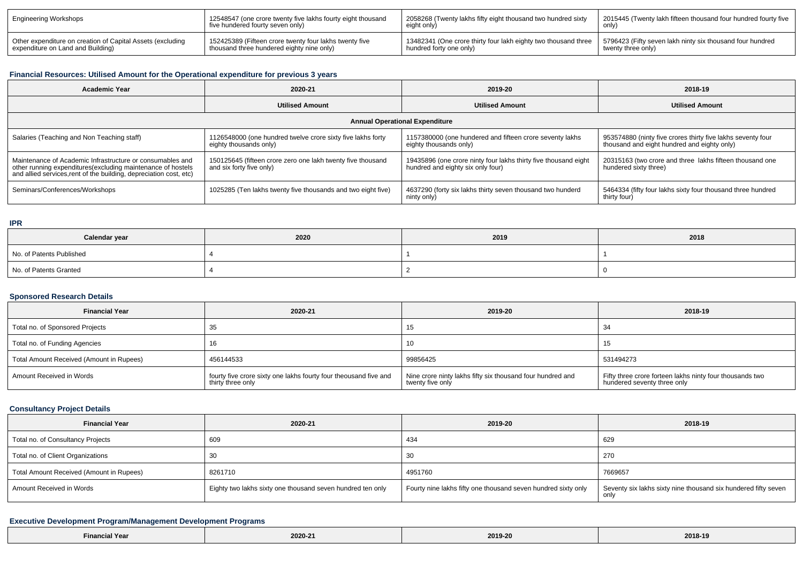| Engineering Workshops                                      | 12548547 (one crore twenty five lakhs fourty eight thousand<br>five hundered fourty seven only) | 2058268 (Twenty lakhs fifty eight thousand two hundred sixty<br>eight only) | 2015445 (Twenty lakh fifteen thousand four hundred fourty five |
|------------------------------------------------------------|-------------------------------------------------------------------------------------------------|-----------------------------------------------------------------------------|----------------------------------------------------------------|
| Other expenditure on creation of Capital Assets (excluding | 152425389 (Fifteen crore twenty four lakhs twenty five                                          | 1 13482341 (One crore thirty four lakh eighty two thousand three            | 5796423 (Fifty seven lakh ninty six thousand four hundred      |
| expenditure on Land and Building)                          | thousand three hundered eighty nine only)                                                       | hundred forty one only)                                                     | twenty three only)                                             |

# **Financial Resources: Utilised Amount for the Operational expenditure for previous 3 years**

| <b>Academic Year</b>                                                                                                                                                                           | 2020-21                                                                                 | 2019-20                                                                                              | 2018-19                                                                                                    |  |  |  |  |  |
|------------------------------------------------------------------------------------------------------------------------------------------------------------------------------------------------|-----------------------------------------------------------------------------------------|------------------------------------------------------------------------------------------------------|------------------------------------------------------------------------------------------------------------|--|--|--|--|--|
|                                                                                                                                                                                                | <b>Utilised Amount</b>                                                                  | <b>Utilised Amount</b>                                                                               | <b>Utilised Amount</b>                                                                                     |  |  |  |  |  |
| <b>Annual Operational Expenditure</b>                                                                                                                                                          |                                                                                         |                                                                                                      |                                                                                                            |  |  |  |  |  |
| Salaries (Teaching and Non Teaching staff)                                                                                                                                                     | 1126548000 (one hundred twelve crore sixty five lakhs forty<br>eighty thousands only)   | 1157380000 (one hundered and fifteen crore seventy lakhs<br>eighty thousands only)                   | 953574880 (ninty five crores thirty five lakhs seventy four<br>thousand and eight hundred and eighty only) |  |  |  |  |  |
| Maintenance of Academic Infrastructure or consumables and<br>other running expenditures(excluding maintenance of hostels<br>and allied services, rent of the building, depreciation cost, etc) | 150125645 (fifteen crore zero one lakh twenty five thousand<br>and six forty five only) | 19435896 (one crore ninty four lakhs thirty five thousand eight<br>hundred and eighty six only four) | 20315163 (two crore and three lakhs fifteen thousand one<br>hundered sixty three)                          |  |  |  |  |  |
| Seminars/Conferences/Workshops                                                                                                                                                                 | 1025285 (Ten lakhs twenty five thousands and two eight five)                            | 4637290 (forty six lakhs thirty seven thousand two hunderd<br>ninty only)                            | 5464334 (fifty four lakhs sixty four thousand three hundred<br>thirty four)                                |  |  |  |  |  |

### **IPR**

| Calendar year            | 2020 | 2019 | 2018 |
|--------------------------|------|------|------|
| No. of Patents Published |      |      |      |
| No. of Patents Granted   |      |      |      |

### **Sponsored Research Details**

| <b>Financial Year</b>                    | 2020-21                                                                               | 2019-20                                                                        | 2018-19                                                                                 |
|------------------------------------------|---------------------------------------------------------------------------------------|--------------------------------------------------------------------------------|-----------------------------------------------------------------------------------------|
| Total no. of Sponsored Projects          |                                                                                       | 15                                                                             | 34                                                                                      |
| Total no. of Funding Agencies            |                                                                                       | 10                                                                             | ں ا                                                                                     |
| Total Amount Received (Amount in Rupees) | 456144533                                                                             | 99856425                                                                       | 531494273                                                                               |
| Amount Received in Words                 | fourty five crore sixty one lakhs fourty four theousand five and<br>thirty three only | Nine crore ninty lakhs fifty six thousand four hundred and<br>twenty five only | Fifty three crore forteen lakhs ninty four thousands two<br>hundered seventy three only |

### **Consultancy Project Details**

| <b>Financial Year</b>                    | 2020-21                                                    | 2019-20                                                       | 2018-19                                                                |
|------------------------------------------|------------------------------------------------------------|---------------------------------------------------------------|------------------------------------------------------------------------|
| Total no. of Consultancy Projects        | 609                                                        | 434                                                           | 629                                                                    |
| Total no. of Client Organizations        |                                                            | 30                                                            | 270                                                                    |
| Total Amount Received (Amount in Rupees) | 8261710                                                    | 4951760                                                       | 7669657                                                                |
| Amount Received in Words                 | Eighty two lakhs sixty one thousand seven hundred ten only | Fourty nine lakhs fifty one thousand seven hundred sixty only | Seventy six lakhs sixty nine thousand six hundered fifty seven<br>only |

## **Executive Development Program/Management Development Programs**

| the contract of the contract of the contract of the contract of the contract of the contract of the contract of | .<br>2020-2 | 2019-20 | 2018-19<br>$\sim$ $\sim$ $\sim$ $\sim$ $\sim$ |
|-----------------------------------------------------------------------------------------------------------------|-------------|---------|-----------------------------------------------|
|-----------------------------------------------------------------------------------------------------------------|-------------|---------|-----------------------------------------------|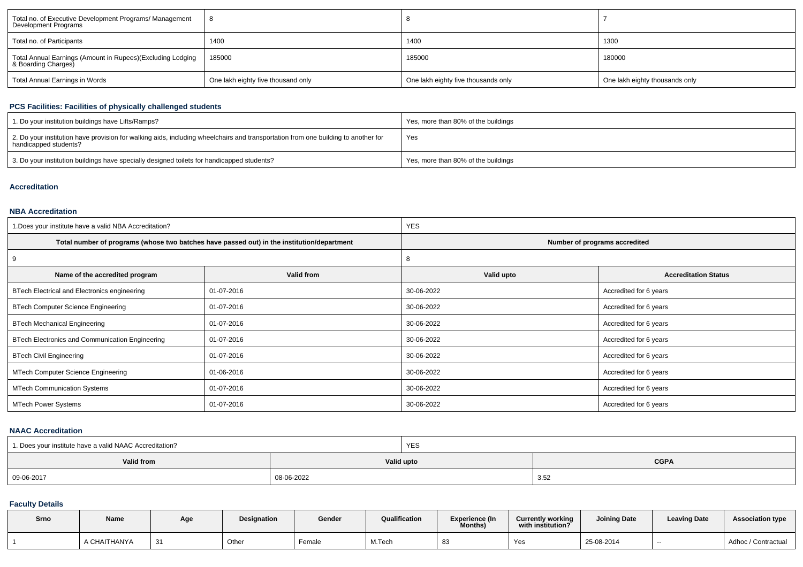| Total no. of Executive Development Programs/ Management<br>Development Programs   |                                    |                                     |                                |  |
|-----------------------------------------------------------------------------------|------------------------------------|-------------------------------------|--------------------------------|--|
| Total no. of Participants                                                         | 1400                               | 1400                                | 1300                           |  |
| Total Annual Earnings (Amount in Rupees)(Excluding Lodging<br>& Boarding Charges) | 185000                             | 185000                              | 180000                         |  |
| Total Annual Earnings in Words                                                    | One lakh eighty five thousand only | One lakh eighty five thousands only | One lakh eighty thousands only |  |

## **PCS Facilities: Facilities of physically challenged students**

| 1. Do your institution buildings have Lifts/Ramps?                                                                                                         | Yes, more than 80% of the buildings |
|------------------------------------------------------------------------------------------------------------------------------------------------------------|-------------------------------------|
| 2. Do your institution have provision for walking aids, including wheelchairs and transportation from one building to another for<br>handicapped students? | Yes                                 |
| 3. Do your institution buildings have specially designed toilets for handicapped students?                                                                 | Yes, more than 80% of the buildings |

## **Accreditation**

### **NBA Accreditation**

| 1. Does your institute have a valid NBA Accreditation? |                                                                                            | <b>YES</b>                    |                             |  |  |
|--------------------------------------------------------|--------------------------------------------------------------------------------------------|-------------------------------|-----------------------------|--|--|
|                                                        | Total number of programs (whose two batches have passed out) in the institution/department | Number of programs accredited |                             |  |  |
| 9                                                      |                                                                                            | ŏ                             |                             |  |  |
| Name of the accredited program                         | Valid from                                                                                 | Valid upto                    | <b>Accreditation Status</b> |  |  |
| BTech Electrical and Electronics engineering           | 01-07-2016                                                                                 | 30-06-2022                    | Accredited for 6 years      |  |  |
| <b>BTech Computer Science Engineering</b>              | 01-07-2016                                                                                 | 30-06-2022                    | Accredited for 6 years      |  |  |
| <b>BTech Mechanical Engineering</b>                    | 01-07-2016                                                                                 | 30-06-2022                    | Accredited for 6 years      |  |  |
| BTech Electronics and Communication Engineering        | 01-07-2016                                                                                 | 30-06-2022                    | Accredited for 6 years      |  |  |
| <b>BTech Civil Engineering</b>                         | 01-07-2016                                                                                 | 30-06-2022                    | Accredited for 6 years      |  |  |
| MTech Computer Science Engineering                     | 01-06-2016                                                                                 | 30-06-2022                    | Accredited for 6 years      |  |  |
| <b>MTech Communication Systems</b>                     | 01-07-2016                                                                                 | 30-06-2022                    | Accredited for 6 years      |  |  |
| <b>MTech Power Systems</b>                             | 01-07-2016                                                                                 | 30-06-2022                    | Accredited for 6 years      |  |  |

### **NAAC Accreditation**

| 1. Does your institute have a valid NAAC Accreditation? |            | <b>YES</b> |             |
|---------------------------------------------------------|------------|------------|-------------|
| Valid from                                              |            | Valid upto | <b>CGPA</b> |
| 09-06-2017                                              | 08-06-2022 |            | つぶ<br>، ت   |

## **Faculty Details**

| Srno | Name         | Age | Designation | Gender | Qualification | <b>Experience (In</b><br>Months) | <b>Currently working</b><br>with institution? | <b>Joining Date</b> | <b>Leaving Date</b> | <b>Association type</b> |
|------|--------------|-----|-------------|--------|---------------|----------------------------------|-----------------------------------------------|---------------------|---------------------|-------------------------|
|      | A CHAITHANYA | 31  | Other       | Female | M.Tech        | -83                              | Yes                                           | 25-08-2014          | $-$                 | Adhoc / Contractual     |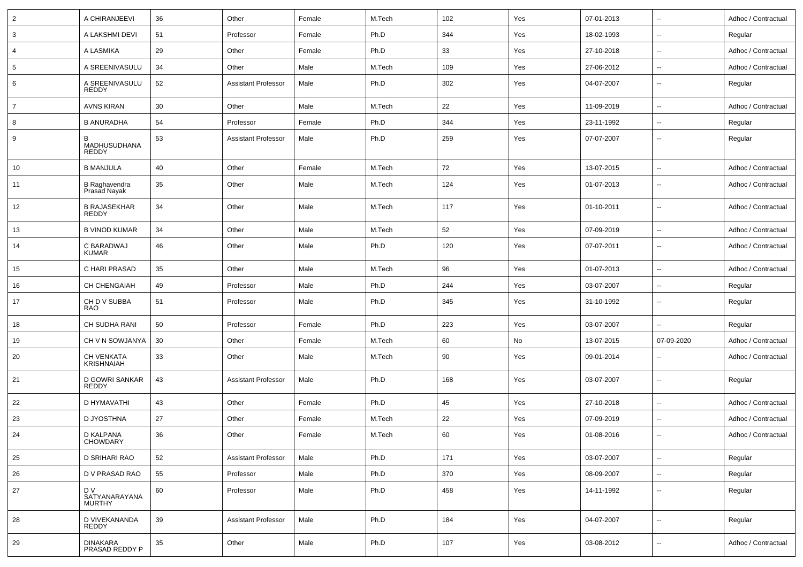| $\overline{2}$ | A CHIRANJEEVI                         | 36 | Other                      | Female | M.Tech | 102 | Yes | 07-01-2013 | $\overline{\phantom{a}}$ | Adhoc / Contractual |
|----------------|---------------------------------------|----|----------------------------|--------|--------|-----|-----|------------|--------------------------|---------------------|
| 3              | A LAKSHMI DEVI                        | 51 | Professor                  | Female | Ph.D   | 344 | Yes | 18-02-1993 | $\sim$                   | Regular             |
| $\overline{4}$ | A LASMIKA                             | 29 | Other                      | Female | Ph.D   | 33  | Yes | 27-10-2018 | $\mathbf{u}$             | Adhoc / Contractual |
| 5              | A SREENIVASULU                        | 34 | Other                      | Male   | M.Tech | 109 | Yes | 27-06-2012 | $\sim$                   | Adhoc / Contractual |
| 6              | A SREENIVASULU<br><b>REDDY</b>        | 52 | <b>Assistant Professor</b> | Male   | Ph.D   | 302 | Yes | 04-07-2007 | $\overline{\phantom{a}}$ | Regular             |
| $\overline{7}$ | <b>AVNS KIRAN</b>                     | 30 | Other                      | Male   | M.Tech | 22  | Yes | 11-09-2019 | $\sim$                   | Adhoc / Contractual |
| 8              | <b>B ANURADHA</b>                     | 54 | Professor                  | Female | Ph.D   | 344 | Yes | 23-11-1992 | $\sim$                   | Regular             |
| 9              | B<br>MADHUSUDHANA<br><b>REDDY</b>     | 53 | <b>Assistant Professor</b> | Male   | Ph.D   | 259 | Yes | 07-07-2007 | $\sim$                   | Regular             |
| 10             | <b>B MANJULA</b>                      | 40 | Other                      | Female | M.Tech | 72  | Yes | 13-07-2015 | $\sim$                   | Adhoc / Contractual |
| 11             | B Raghavendra<br>Prasad Nayak         | 35 | Other                      | Male   | M.Tech | 124 | Yes | 01-07-2013 | $\sim$                   | Adhoc / Contractual |
| 12             | <b>B RAJASEKHAR</b><br><b>REDDY</b>   | 34 | Other                      | Male   | M.Tech | 117 | Yes | 01-10-2011 | $\sim$                   | Adhoc / Contractual |
| 13             | <b>B VINOD KUMAR</b>                  | 34 | Other                      | Male   | M.Tech | 52  | Yes | 07-09-2019 | $\sim$                   | Adhoc / Contractual |
| 14             | C BARADWAJ<br><b>KUMAR</b>            | 46 | Other                      | Male   | Ph.D   | 120 | Yes | 07-07-2011 | $\sim$                   | Adhoc / Contractual |
| 15             | C HARI PRASAD                         | 35 | Other                      | Male   | M.Tech | 96  | Yes | 01-07-2013 | $\sim$                   | Adhoc / Contractual |
| 16             | CH CHENGAIAH                          | 49 | Professor                  | Male   | Ph.D   | 244 | Yes | 03-07-2007 | $\sim$                   | Regular             |
| 17             | CH D V SUBBA<br><b>RAO</b>            | 51 | Professor                  | Male   | Ph.D   | 345 | Yes | 31-10-1992 | $\sim$                   | Regular             |
| 18             | CH SUDHA RANI                         | 50 | Professor                  | Female | Ph.D   | 223 | Yes | 03-07-2007 | $\sim$                   | Regular             |
| 19             | CH V N SOWJANYA                       | 30 | Other                      | Female | M.Tech | 60  | No  | 13-07-2015 | 07-09-2020               | Adhoc / Contractual |
| 20             | CH VENKATA<br>KRISHNAIAH              | 33 | Other                      | Male   | M.Tech | 90  | Yes | 09-01-2014 |                          | Adhoc / Contractual |
| 21             | D GOWRI SANKAR<br><b>REDDY</b>        | 43 | <b>Assistant Professor</b> | Male   | Ph.D   | 168 | Yes | 03-07-2007 | $\mathbf{u}$             | Regular             |
| 22             | D HYMAVATHI                           | 43 | Other                      | Female | Ph.D   | 45  | Yes | 27-10-2018 | $\sim$                   | Adhoc / Contractual |
| 23             | D JYOSTHNA                            | 27 | Other                      | Female | M.Tech | 22  | Yes | 07-09-2019 | $\sim$                   | Adhoc / Contractual |
| 24             | D KALPANA<br><b>CHOWDARY</b>          | 36 | Other                      | Female | M.Tech | 60  | Yes | 01-08-2016 | $\sim$                   | Adhoc / Contractual |
| 25             | D SRIHARI RAO                         | 52 | <b>Assistant Professor</b> | Male   | Ph.D   | 171 | Yes | 03-07-2007 | $\overline{\phantom{a}}$ | Regular             |
| 26             | D V PRASAD RAO                        | 55 | Professor                  | Male   | Ph.D   | 370 | Yes | 08-09-2007 | $\sim$                   | Regular             |
| 27             | D V<br>SATYANARAYANA<br><b>MURTHY</b> | 60 | Professor                  | Male   | Ph.D   | 458 | Yes | 14-11-1992 | $\sim$                   | Regular             |
| 28             | D VIVEKANANDA<br>REDDY                | 39 | <b>Assistant Professor</b> | Male   | Ph.D   | 184 | Yes | 04-07-2007 | $\sim$                   | Regular             |
| 29             | DINAKARA<br>PRASAD REDDY P            | 35 | Other                      | Male   | Ph.D   | 107 | Yes | 03-08-2012 | $\sim$                   | Adhoc / Contractual |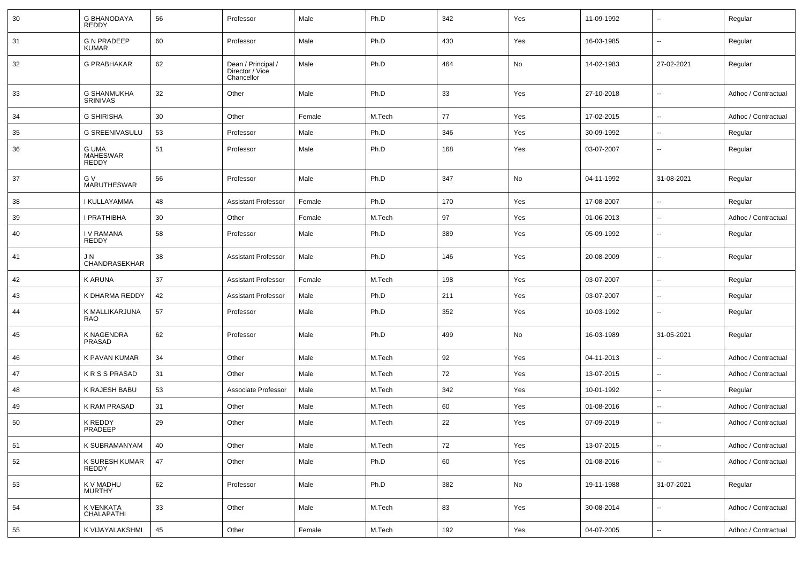| 30 | <b>G BHANODAYA</b><br><b>REDDY</b>    | 56 | Professor                                           | Male   | Ph.D   | 342 | Yes | 11-09-1992 | $\overline{\phantom{a}}$ | Regular             |
|----|---------------------------------------|----|-----------------------------------------------------|--------|--------|-----|-----|------------|--------------------------|---------------------|
| 31 | <b>G N PRADEEP</b><br><b>KUMAR</b>    | 60 | Professor                                           | Male   | Ph.D   | 430 | Yes | 16-03-1985 | $\overline{\phantom{a}}$ | Regular             |
| 32 | <b>G PRABHAKAR</b>                    | 62 | Dean / Principal /<br>Director / Vice<br>Chancellor | Male   | Ph.D   | 464 | No  | 14-02-1983 | 27-02-2021               | Regular             |
| 33 | <b>G SHANMUKHA</b><br><b>SRINIVAS</b> | 32 | Other                                               | Male   | Ph.D   | 33  | Yes | 27-10-2018 | $\overline{\phantom{a}}$ | Adhoc / Contractual |
| 34 | <b>G SHIRISHA</b>                     | 30 | Other                                               | Female | M.Tech | 77  | Yes | 17-02-2015 | $\overline{\phantom{a}}$ | Adhoc / Contractual |
| 35 | <b>G SREENIVASULU</b>                 | 53 | Professor                                           | Male   | Ph.D   | 346 | Yes | 30-09-1992 | $\overline{\phantom{a}}$ | Regular             |
| 36 | G UMA<br><b>MAHESWAR</b><br>REDDY     | 51 | Professor                                           | Male   | Ph.D   | 168 | Yes | 03-07-2007 | $\overline{\phantom{a}}$ | Regular             |
| 37 | G V<br><b>MARUTHESWAR</b>             | 56 | Professor                                           | Male   | Ph.D   | 347 | No  | 04-11-1992 | 31-08-2021               | Regular             |
| 38 | I KULLAYAMMA                          | 48 | <b>Assistant Professor</b>                          | Female | Ph.D   | 170 | Yes | 17-08-2007 | $\overline{\phantom{a}}$ | Regular             |
| 39 | I PRATHIBHA                           | 30 | Other                                               | Female | M.Tech | 97  | Yes | 01-06-2013 | $\overline{\phantom{a}}$ | Adhoc / Contractual |
| 40 | <b>IV RAMANA</b><br><b>REDDY</b>      | 58 | Professor                                           | Male   | Ph.D   | 389 | Yes | 05-09-1992 | $\overline{\phantom{a}}$ | Regular             |
| 41 | J N<br>CHANDRASEKHAR                  | 38 | <b>Assistant Professor</b>                          | Male   | Ph.D   | 146 | Yes | 20-08-2009 | $\overline{\phantom{a}}$ | Regular             |
| 42 | <b>KARUNA</b>                         | 37 | <b>Assistant Professor</b>                          | Female | M.Tech | 198 | Yes | 03-07-2007 | $\overline{\phantom{a}}$ | Regular             |
| 43 | K DHARMA REDDY                        | 42 | <b>Assistant Professor</b>                          | Male   | Ph.D   | 211 | Yes | 03-07-2007 | $\overline{\phantom{a}}$ | Regular             |
| 44 | K MALLIKARJUNA<br><b>RAO</b>          | 57 | Professor                                           | Male   | Ph.D   | 352 | Yes | 10-03-1992 | $\overline{\phantom{a}}$ | Regular             |
| 45 | K NAGENDRA<br>PRASAD                  | 62 | Professor                                           | Male   | Ph.D   | 499 | No  | 16-03-1989 | 31-05-2021               | Regular             |
| 46 | K PAVAN KUMAR                         | 34 | Other                                               | Male   | M.Tech | 92  | Yes | 04-11-2013 | $\ddotsc$                | Adhoc / Contractual |
| 47 | <b>KRSSPRASAD</b>                     | 31 | Other                                               | Male   | M.Tech | 72  | Yes | 13-07-2015 | $\overline{\phantom{a}}$ | Adhoc / Contractual |
| 48 | K RAJESH BABU                         | 53 | Associate Professor                                 | Male   | M.Tech | 342 | Yes | 10-01-1992 | $\overline{\phantom{a}}$ | Regular             |
| 49 | K RAM PRASAD                          | 31 | Other                                               | Male   | M.Tech | 60  | Yes | 01-08-2016 | $\overline{\phantom{a}}$ | Adhoc / Contractual |
| 50 | K REDDY<br>PRADEEP                    | 29 | Other                                               | Male   | M.Tech | 22  | Yes | 07-09-2019 | $\overline{\phantom{a}}$ | Adhoc / Contractual |
| 51 | K SUBRAMANYAM                         | 40 | Other                                               | Male   | M.Tech | 72  | Yes | 13-07-2015 | $\overline{\phantom{a}}$ | Adhoc / Contractual |
| 52 | K SURESH KUMAR<br><b>REDDY</b>        | 47 | Other                                               | Male   | Ph.D   | 60  | Yes | 01-08-2016 | ۰.                       | Adhoc / Contractual |
| 53 | K V MADHU<br><b>MURTHY</b>            | 62 | Professor                                           | Male   | Ph.D   | 382 | No  | 19-11-1988 | 31-07-2021               | Regular             |
| 54 | K VENKATA<br>CHALAPATHI               | 33 | Other                                               | Male   | M.Tech | 83  | Yes | 30-08-2014 | ۰.                       | Adhoc / Contractual |
| 55 | K VIJAYALAKSHMI                       | 45 | Other                                               | Female | M.Tech | 192 | Yes | 04-07-2005 | $\overline{\phantom{a}}$ | Adhoc / Contractual |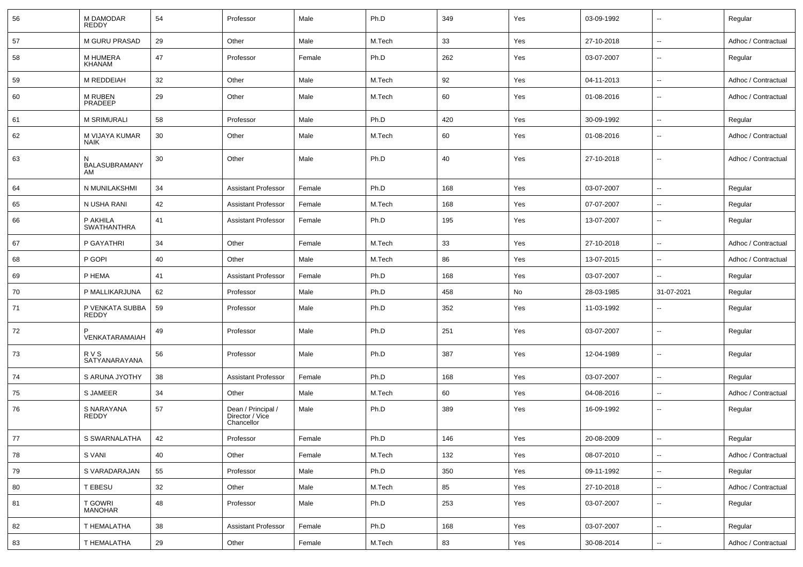| 56 | M DAMODAR<br><b>REDDY</b>       | 54 | Professor                                           | Male   | Ph.D   | 349 | Yes | 03-09-1992 | $\overline{\phantom{a}}$ | Regular             |
|----|---------------------------------|----|-----------------------------------------------------|--------|--------|-----|-----|------------|--------------------------|---------------------|
| 57 | M GURU PRASAD                   | 29 | Other                                               | Male   | M.Tech | 33  | Yes | 27-10-2018 | $\overline{\phantom{a}}$ | Adhoc / Contractual |
| 58 | M HUMERA<br>KHANAM              | 47 | Professor                                           | Female | Ph.D   | 262 | Yes | 03-07-2007 | $\overline{\phantom{a}}$ | Regular             |
| 59 | M REDDEIAH                      | 32 | Other                                               | Male   | M.Tech | 92  | Yes | 04-11-2013 | $\overline{\phantom{a}}$ | Adhoc / Contractual |
| 60 | <b>M RUBEN</b><br>PRADEEP       | 29 | Other                                               | Male   | M.Tech | 60  | Yes | 01-08-2016 | $\overline{\phantom{a}}$ | Adhoc / Contractual |
| 61 | <b>M SRIMURALI</b>              | 58 | Professor                                           | Male   | Ph.D   | 420 | Yes | 30-09-1992 | $\mathbf{u}$             | Regular             |
| 62 | M VIJAYA KUMAR<br>NAIK          | 30 | Other                                               | Male   | M.Tech | 60  | Yes | 01-08-2016 | $\overline{\phantom{a}}$ | Adhoc / Contractual |
| 63 | N<br>BALASUBRAMANY<br>AM        | 30 | Other                                               | Male   | Ph.D   | 40  | Yes | 27-10-2018 | $\overline{\phantom{a}}$ | Adhoc / Contractual |
| 64 | N MUNILAKSHMI                   | 34 | <b>Assistant Professor</b>                          | Female | Ph.D   | 168 | Yes | 03-07-2007 | $\mathbf{u}$             | Regular             |
| 65 | N USHA RANI                     | 42 | <b>Assistant Professor</b>                          | Female | M.Tech | 168 | Yes | 07-07-2007 | $\overline{\phantom{a}}$ | Regular             |
| 66 | P AKHILA<br><b>SWATHANTHRA</b>  | 41 | <b>Assistant Professor</b>                          | Female | Ph.D   | 195 | Yes | 13-07-2007 | $\overline{\phantom{a}}$ | Regular             |
| 67 | P GAYATHRI                      | 34 | Other                                               | Female | M.Tech | 33  | Yes | 27-10-2018 | $\mathbf{u}$             | Adhoc / Contractual |
| 68 | P GOPI                          | 40 | Other                                               | Male   | M.Tech | 86  | Yes | 13-07-2015 | $\mathbf{u}$             | Adhoc / Contractual |
| 69 | P HEMA                          | 41 | <b>Assistant Professor</b>                          | Female | Ph.D   | 168 | Yes | 03-07-2007 | $\mathbf{u}$             | Regular             |
| 70 | P MALLIKARJUNA                  | 62 | Professor                                           | Male   | Ph.D   | 458 | No  | 28-03-1985 | 31-07-2021               | Regular             |
| 71 | P VENKATA SUBBA<br><b>REDDY</b> | 59 | Professor                                           | Male   | Ph.D   | 352 | Yes | 11-03-1992 | $\overline{\phantom{a}}$ | Regular             |
| 72 | VENKATARAMAIAH                  | 49 | Professor                                           | Male   | Ph.D   | 251 | Yes | 03-07-2007 | $\overline{\phantom{a}}$ | Regular             |
| 73 | <b>RVS</b><br>SATYANARAYANA     | 56 | Professor                                           | Male   | Ph.D   | 387 | Yes | 12-04-1989 | $\overline{\phantom{a}}$ | Regular             |
| 74 | S ARUNA JYOTHY                  | 38 | <b>Assistant Professor</b>                          | Female | Ph.D   | 168 | Yes | 03-07-2007 | $\overline{\phantom{a}}$ | Regular             |
| 75 | <b>S JAMEER</b>                 | 34 | Other                                               | Male   | M.Tech | 60  | Yes | 04-08-2016 | $\overline{\phantom{a}}$ | Adhoc / Contractual |
| 76 | S NARAYANA<br><b>REDDY</b>      | 57 | Dean / Principal /<br>Director / Vice<br>Chancellor | Male   | Ph.D   | 389 | Yes | 16-09-1992 | $\overline{\phantom{a}}$ | Regular             |
| 77 | S SWARNALATHA                   | 42 | Professor                                           | Female | Ph.D   | 146 | Yes | 20-08-2009 | $\overline{\phantom{a}}$ | Regular             |
| 78 | S VANI                          | 40 | Other                                               | Female | M.Tech | 132 | Yes | 08-07-2010 | $\overline{\phantom{a}}$ | Adhoc / Contractual |
| 79 | S VARADARAJAN                   | 55 | Professor                                           | Male   | Ph.D   | 350 | Yes | 09-11-1992 | $\overline{\phantom{a}}$ | Regular             |
| 80 | T EBESU                         | 32 | Other                                               | Male   | M.Tech | 85  | Yes | 27-10-2018 | $\overline{\phantom{a}}$ | Adhoc / Contractual |
| 81 | T GOWRI<br>MANOHAR              | 48 | Professor                                           | Male   | Ph.D   | 253 | Yes | 03-07-2007 | $\overline{\phantom{a}}$ | Regular             |
| 82 | T HEMALATHA                     | 38 | <b>Assistant Professor</b>                          | Female | Ph.D   | 168 | Yes | 03-07-2007 | ۰.                       | Regular             |
| 83 | T HEMALATHA                     | 29 | Other                                               | Female | M.Tech | 83  | Yes | 30-08-2014 | $\overline{\phantom{a}}$ | Adhoc / Contractual |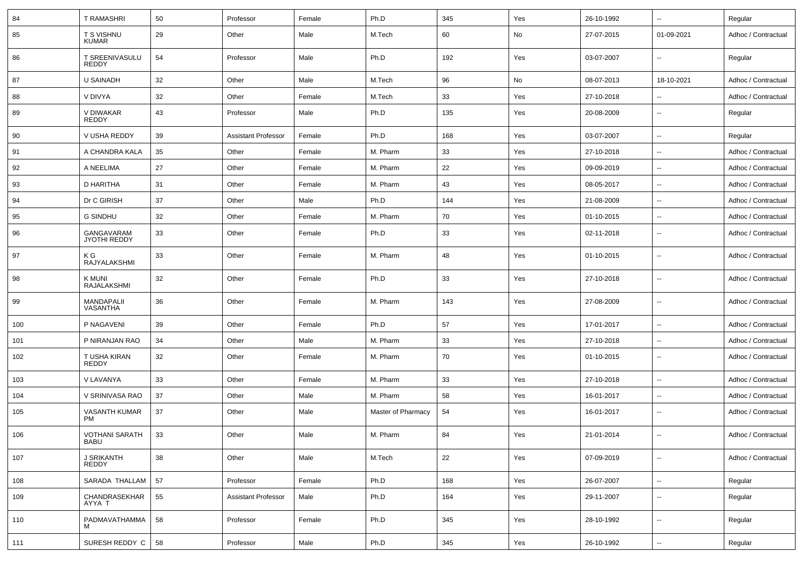| 84  | <b>T RAMASHRI</b>                    | 50 | Professor                  | Female | Ph.D               | 345 | Yes | 26-10-1992 |                          | Regular             |
|-----|--------------------------------------|----|----------------------------|--------|--------------------|-----|-----|------------|--------------------------|---------------------|
| 85  | T S VISHNU<br><b>KUMAR</b>           | 29 | Other                      | Male   | M.Tech             | 60  | No  | 27-07-2015 | 01-09-2021               | Adhoc / Contractual |
| 86  | T SREENIVASULU<br><b>REDDY</b>       | 54 | Professor                  | Male   | Ph.D               | 192 | Yes | 03-07-2007 |                          | Regular             |
| 87  | U SAINADH                            | 32 | Other                      | Male   | M.Tech             | 96  | No  | 08-07-2013 | 18-10-2021               | Adhoc / Contractual |
| 88  | V DIVYA                              | 32 | Other                      | Female | M.Tech             | 33  | Yes | 27-10-2018 |                          | Adhoc / Contractual |
| 89  | V DIWAKAR<br><b>REDDY</b>            | 43 | Professor                  | Male   | Ph.D               | 135 | Yes | 20-08-2009 | н.                       | Regular             |
| 90  | V USHA REDDY                         | 39 | <b>Assistant Professor</b> | Female | Ph.D               | 168 | Yes | 03-07-2007 | $\ddot{\phantom{a}}$     | Regular             |
| 91  | A CHANDRA KALA                       | 35 | Other                      | Female | M. Pharm           | 33  | Yes | 27-10-2018 | $\overline{\phantom{a}}$ | Adhoc / Contractual |
| 92  | A NEELIMA                            | 27 | Other                      | Female | M. Pharm           | 22  | Yes | 09-09-2019 | ÷.                       | Adhoc / Contractual |
| 93  | D HARITHA                            | 31 | Other                      | Female | M. Pharm           | 43  | Yes | 08-05-2017 | $\sim$                   | Adhoc / Contractual |
| 94  | Dr C GIRISH                          | 37 | Other                      | Male   | Ph.D               | 144 | Yes | 21-08-2009 | $\overline{\phantom{a}}$ | Adhoc / Contractual |
| 95  | <b>G SINDHU</b>                      | 32 | Other                      | Female | M. Pharm           | 70  | Yes | 01-10-2015 | $\sim$                   | Adhoc / Contractual |
| 96  | GANGAVARAM<br>JYOTHI REDDY           | 33 | Other                      | Female | Ph.D               | 33  | Yes | 02-11-2018 | н.                       | Adhoc / Contractual |
| 97  | K G<br><b>RAJYALAKSHMI</b>           | 33 | Other                      | Female | M. Pharm           | 48  | Yes | 01-10-2015 |                          | Adhoc / Contractual |
| 98  | K MUNI<br>RAJALAKSHMI                | 32 | Other                      | Female | Ph.D               | 33  | Yes | 27-10-2018 | н.                       | Adhoc / Contractual |
| 99  | MANDAPALII<br>VASANTHA               | 36 | Other                      | Female | M. Pharm           | 143 | Yes | 27-08-2009 | н.                       | Adhoc / Contractual |
| 100 | P NAGAVENI                           | 39 | Other                      | Female | Ph.D               | 57  | Yes | 17-01-2017 | н.                       | Adhoc / Contractual |
| 101 | P NIRANJAN RAO                       | 34 | Other                      | Male   | M. Pharm           | 33  | Yes | 27-10-2018 | $\overline{\phantom{a}}$ | Adhoc / Contractual |
| 102 | T USHA KIRAN<br><b>REDDY</b>         | 32 | Other                      | Female | M. Pharm           | 70  | Yes | 01-10-2015 |                          | Adhoc / Contractual |
| 103 | V LAVANYA                            | 33 | Other                      | Female | M. Pharm           | 33  | Yes | 27-10-2018 | $\ddot{\phantom{a}}$     | Adhoc / Contractual |
| 104 | V SRINIVASA RAO                      | 37 | Other                      | Male   | M. Pharm           | 58  | Yes | 16-01-2017 | $\ddot{\phantom{a}}$     | Adhoc / Contractual |
| 105 | <b>VASANTH KUMAR</b><br><b>PM</b>    | 37 | Other                      | Male   | Master of Pharmacy | 54  | Yes | 16-01-2017 | $\overline{\phantom{a}}$ | Adhoc / Contractual |
| 106 | <b>VOTHANI SARATH</b><br><b>BABU</b> | 33 | Other                      | Male   | M. Pharm           | 84  | Yes | 21-01-2014 | $\overline{\phantom{a}}$ | Adhoc / Contractual |
| 107 | <b>J SRIKANTH</b><br><b>REDDY</b>    | 38 | Other                      | Male   | M.Tech             | 22  | Yes | 07-09-2019 | $\overline{\phantom{a}}$ | Adhoc / Contractual |
| 108 | SARADA THALLAM                       | 57 | Professor                  | Female | Ph.D               | 168 | Yes | 26-07-2007 | $\sim$                   | Regular             |
| 109 | CHANDRASEKHAR<br>AYYA T              | 55 | <b>Assistant Professor</b> | Male   | Ph.D               | 164 | Yes | 29-11-2007 | $\overline{\phantom{a}}$ | Regular             |
| 110 | PADMAVATHAMMA                        | 58 | Professor                  | Female | Ph.D               | 345 | Yes | 28-10-1992 | н,                       | Regular             |
| 111 | SURESH REDDY C                       | 58 | Professor                  | Male   | Ph.D               | 345 | Yes | 26-10-1992 | $\overline{\phantom{a}}$ | Regular             |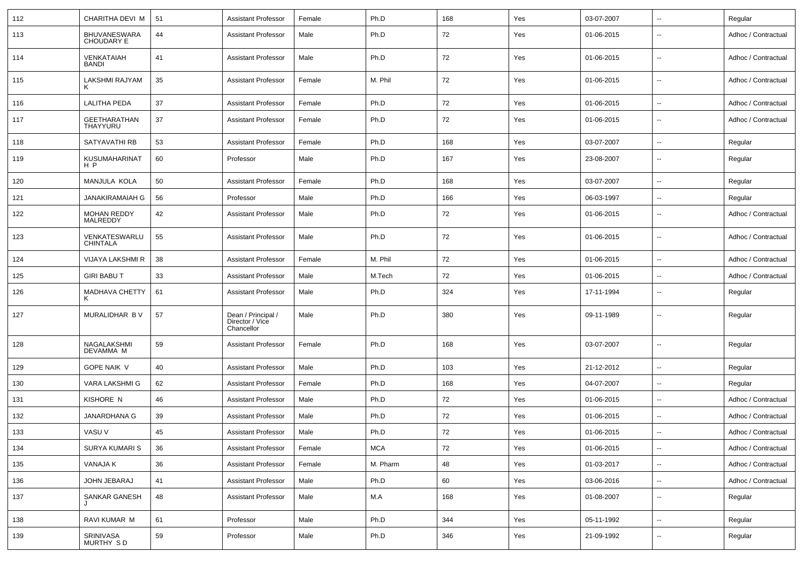| 112 | CHARITHA DEVI M                          | 51 | Assistant Professor                                 | Female | Ph.D       | 168 | Yes | 03-07-2007 | $\overline{\phantom{a}}$ | Regular             |
|-----|------------------------------------------|----|-----------------------------------------------------|--------|------------|-----|-----|------------|--------------------------|---------------------|
| 113 | <b>BHUVANESWARA</b><br><b>CHOUDARY E</b> | 44 | <b>Assistant Professor</b>                          | Male   | Ph.D       | 72  | Yes | 01-06-2015 | $\overline{\phantom{a}}$ | Adhoc / Contractual |
| 114 | VENKATAIAH<br><b>BANDI</b>               | 41 | <b>Assistant Professor</b>                          | Male   | Ph.D       | 72  | Yes | 01-06-2015 | $\overline{\phantom{a}}$ | Adhoc / Contractual |
| 115 | <b>LAKSHMI RAJYAM</b>                    | 35 | Assistant Professor                                 | Female | M. Phil    | 72  | Yes | 01-06-2015 | $\overline{\phantom{a}}$ | Adhoc / Contractual |
| 116 | LALITHA PEDA                             | 37 | <b>Assistant Professor</b>                          | Female | Ph.D       | 72  | Yes | 01-06-2015 | $\overline{\phantom{a}}$ | Adhoc / Contractual |
| 117 | GEETHARATHAN<br>THAYYURU                 | 37 | <b>Assistant Professor</b>                          | Female | Ph.D       | 72  | Yes | 01-06-2015 | $\overline{\phantom{a}}$ | Adhoc / Contractual |
| 118 | SATYAVATHI RB                            | 53 | <b>Assistant Professor</b>                          | Female | Ph.D       | 168 | Yes | 03-07-2007 | $\overline{\phantom{a}}$ | Regular             |
| 119 | KUSUMAHARINAT<br>H P                     | 60 | Professor                                           | Male   | Ph.D       | 167 | Yes | 23-08-2007 | $\overline{\phantom{a}}$ | Regular             |
| 120 | MANJULA KOLA                             | 50 | <b>Assistant Professor</b>                          | Female | Ph.D       | 168 | Yes | 03-07-2007 | $\overline{\phantom{a}}$ | Regular             |
| 121 | JANAKIRAMAIAH G                          | 56 | Professor                                           | Male   | Ph.D       | 166 | Yes | 06-03-1997 | $\overline{\phantom{a}}$ | Regular             |
| 122 | MOHAN REDDY<br>MALREDDY                  | 42 | <b>Assistant Professor</b>                          | Male   | Ph.D       | 72  | Yes | 01-06-2015 | $\overline{\phantom{a}}$ | Adhoc / Contractual |
| 123 | VENKATESWARLU<br><b>CHINTALA</b>         | 55 | <b>Assistant Professor</b>                          | Male   | Ph.D       | 72  | Yes | 01-06-2015 | $\sim$                   | Adhoc / Contractual |
| 124 | VIJAYA LAKSHMI R                         | 38 | <b>Assistant Professor</b>                          | Female | M. Phil    | 72  | Yes | 01-06-2015 | $\overline{\phantom{a}}$ | Adhoc / Contractual |
| 125 | <b>GIRI BABU T</b>                       | 33 | <b>Assistant Professor</b>                          | Male   | M.Tech     | 72  | Yes | 01-06-2015 | $\overline{\phantom{a}}$ | Adhoc / Contractual |
| 126 | MADHAVA CHETTY                           | 61 | <b>Assistant Professor</b>                          | Male   | Ph.D       | 324 | Yes | 17-11-1994 | $\overline{\phantom{a}}$ | Regular             |
| 127 | MURALIDHAR B V                           | 57 | Dean / Principal /<br>Director / Vice<br>Chancellor | Male   | Ph.D       | 380 | Yes | 09-11-1989 | $\overline{\phantom{a}}$ | Regular             |
| 128 | NAGALAKSHMI<br>DEVAMMA M                 | 59 | <b>Assistant Professor</b>                          | Female | Ph.D       | 168 | Yes | 03-07-2007 | $\overline{\phantom{a}}$ | Regular             |
| 129 | <b>GOPE NAIK V</b>                       | 40 | <b>Assistant Professor</b>                          | Male   | Ph.D       | 103 | Yes | 21-12-2012 | $\overline{\phantom{a}}$ | Regular             |
| 130 | VARA LAKSHMI G                           | 62 | Assistant Professor                                 | Female | Ph.D       | 168 | Yes | 04-07-2007 | $\overline{\phantom{a}}$ | Regular             |
| 131 | KISHORE N                                | 46 | <b>Assistant Professor</b>                          | Male   | Ph.D       | 72  | Yes | 01-06-2015 | $\overline{\phantom{a}}$ | Adhoc / Contractual |
| 132 | JANARDHANA G                             | 39 | <b>Assistant Professor</b>                          | Male   | Ph.D       | 72  | Yes | 01-06-2015 | $\overline{\phantom{a}}$ | Adhoc / Contractual |
| 133 | VASU V                                   | 45 | <b>Assistant Professor</b>                          | Male   | Ph.D       | 72  | Yes | 01-06-2015 | $\overline{\phantom{a}}$ | Adhoc / Contractual |
| 134 | SURYA KUMARI S                           | 36 | <b>Assistant Professor</b>                          | Female | <b>MCA</b> | 72  | Yes | 01-06-2015 | $\overline{\phantom{a}}$ | Adhoc / Contractual |
| 135 | VANAJA K                                 | 36 | <b>Assistant Professor</b>                          | Female | M. Pharm   | 48  | Yes | 01-03-2017 | $\overline{\phantom{a}}$ | Adhoc / Contractual |
| 136 | JOHN JEBARAJ                             | 41 | <b>Assistant Professor</b>                          | Male   | Ph.D       | 60  | Yes | 03-06-2016 | $\overline{\phantom{a}}$ | Adhoc / Contractual |
| 137 | SANKAR GANESH                            | 48 | <b>Assistant Professor</b>                          | Male   | M.A        | 168 | Yes | 01-08-2007 | $\overline{\phantom{a}}$ | Regular             |
| 138 | RAVI KUMAR M                             | 61 | Professor                                           | Male   | Ph.D       | 344 | Yes | 05-11-1992 | $\overline{\phantom{a}}$ | Regular             |
| 139 | SRINIVASA<br>MURTHY SD                   | 59 | Professor                                           | Male   | Ph.D       | 346 | Yes | 21-09-1992 | ۰.                       | Regular             |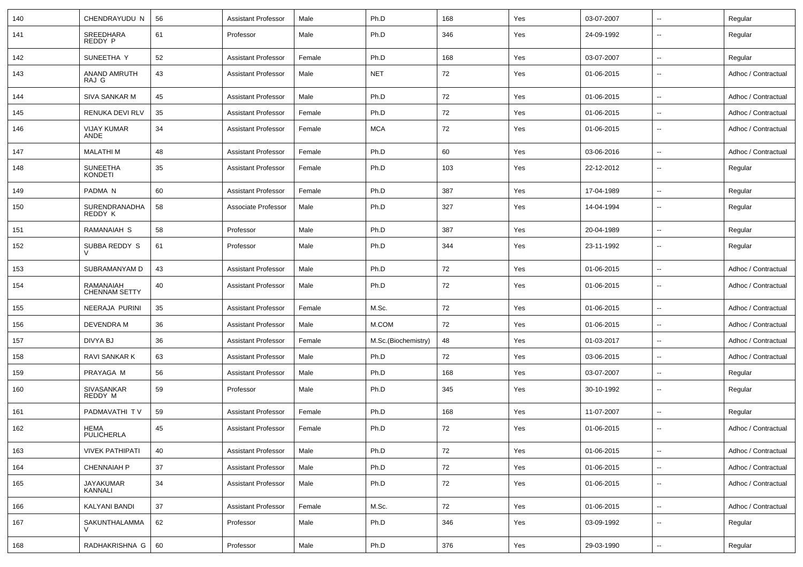| 140 | CHENDRAYUDU N                     | 56 | <b>Assistant Professor</b> | Male   | Ph.D                | 168 | Yes | 03-07-2007 | $\overline{\phantom{a}}$ | Regular             |
|-----|-----------------------------------|----|----------------------------|--------|---------------------|-----|-----|------------|--------------------------|---------------------|
| 141 | SREEDHARA<br>REDDY P              | 61 | Professor                  | Male   | Ph.D                | 346 | Yes | 24-09-1992 | $\overline{\phantom{a}}$ | Regular             |
| 142 | SUNEETHA Y                        | 52 | <b>Assistant Professor</b> | Female | Ph.D                | 168 | Yes | 03-07-2007 | $\overline{\phantom{a}}$ | Regular             |
| 143 | ANAND AMRUTH<br>RAJ G             | 43 | <b>Assistant Professor</b> | Male   | <b>NET</b>          | 72  | Yes | 01-06-2015 | $\overline{\phantom{a}}$ | Adhoc / Contractual |
| 144 | SIVA SANKAR M                     | 45 | <b>Assistant Professor</b> | Male   | Ph.D                | 72  | Yes | 01-06-2015 | $\sim$                   | Adhoc / Contractual |
| 145 | RENUKA DEVI RLV                   | 35 | <b>Assistant Professor</b> | Female | Ph.D                | 72  | Yes | 01-06-2015 | $\overline{\phantom{a}}$ | Adhoc / Contractual |
| 146 | VIJAY KUMAR<br>ANDE               | 34 | <b>Assistant Professor</b> | Female | <b>MCA</b>          | 72  | Yes | 01-06-2015 | $\overline{\phantom{a}}$ | Adhoc / Contractual |
| 147 | <b>MALATHIM</b>                   | 48 | <b>Assistant Professor</b> | Female | Ph.D                | 60  | Yes | 03-06-2016 | $\overline{\phantom{a}}$ | Adhoc / Contractual |
| 148 | <b>SUNEETHA</b><br><b>KONDETI</b> | 35 | <b>Assistant Professor</b> | Female | Ph.D                | 103 | Yes | 22-12-2012 | $\overline{\phantom{a}}$ | Regular             |
| 149 | PADMA <sub>N</sub>                | 60 | <b>Assistant Professor</b> | Female | Ph.D                | 387 | Yes | 17-04-1989 | $\sim$                   | Regular             |
| 150 | SURENDRANADHA<br>REDDY K          | 58 | Associate Professor        | Male   | Ph.D                | 327 | Yes | 14-04-1994 | $\overline{\phantom{a}}$ | Regular             |
| 151 | RAMANAIAH S                       | 58 | Professor                  | Male   | Ph.D                | 387 | Yes | 20-04-1989 | $\overline{\phantom{a}}$ | Regular             |
| 152 | SUBBA REDDY S                     | 61 | Professor                  | Male   | Ph.D                | 344 | Yes | 23-11-1992 | $\overline{\phantom{a}}$ | Regular             |
| 153 | SUBRAMANYAM D                     | 43 | <b>Assistant Professor</b> | Male   | Ph.D                | 72  | Yes | 01-06-2015 | $\overline{\phantom{a}}$ | Adhoc / Contractual |
| 154 | RAMANAIAH<br><b>CHENNAM SETTY</b> | 40 | <b>Assistant Professor</b> | Male   | Ph.D                | 72  | Yes | 01-06-2015 | $\overline{\phantom{a}}$ | Adhoc / Contractual |
| 155 | NEERAJA PURINI                    | 35 | <b>Assistant Professor</b> | Female | M.Sc.               | 72  | Yes | 01-06-2015 | $\overline{\phantom{a}}$ | Adhoc / Contractual |
| 156 | DEVENDRA M                        | 36 | <b>Assistant Professor</b> | Male   | M.COM               | 72  | Yes | 01-06-2015 | $\overline{\phantom{a}}$ | Adhoc / Contractual |
| 157 | DIVYA BJ                          | 36 | <b>Assistant Professor</b> | Female | M.Sc.(Biochemistry) | 48  | Yes | 01-03-2017 | $\overline{\phantom{a}}$ | Adhoc / Contractual |
| 158 | RAVI SANKAR K                     | 63 | Assistant Professor        | Male   | Ph.D                | 72  | Yes | 03-06-2015 | $\overline{\phantom{a}}$ | Adhoc / Contractual |
| 159 | PRAYAGA M                         | 56 | <b>Assistant Professor</b> | Male   | Ph.D                | 168 | Yes | 03-07-2007 | $\overline{\phantom{a}}$ | Regular             |
| 160 | SIVASANKAR<br>REDDY M             | 59 | Professor                  | Male   | Ph.D                | 345 | Yes | 30-10-1992 | $\overline{\phantom{a}}$ | Regular             |
| 161 | PADMAVATHI TV                     | 59 | Assistant Professor        | Female | Ph.D                | 168 | Yes | 11-07-2007 | $\overline{\phantom{a}}$ | Regular             |
| 162 | HEMA<br>PULICHERLA                | 45 | <b>Assistant Professor</b> | Female | Ph.D                | 72  | Yes | 01-06-2015 | $\overline{\phantom{a}}$ | Adhoc / Contractual |
| 163 | <b>VIVEK PATHIPATI</b>            | 40 | <b>Assistant Professor</b> | Male   | Ph.D                | 72  | Yes | 01-06-2015 | $\overline{\phantom{a}}$ | Adhoc / Contractual |
| 164 | <b>CHENNAIAH P</b>                | 37 | <b>Assistant Professor</b> | Male   | Ph.D                | 72  | Yes | 01-06-2015 | $\overline{\phantom{a}}$ | Adhoc / Contractual |
| 165 | <b>JAYAKUMAR</b><br>KANNALI       | 34 | <b>Assistant Professor</b> | Male   | Ph.D                | 72  | Yes | 01-06-2015 | $\overline{\phantom{a}}$ | Adhoc / Contractual |
| 166 | KALYANI BANDI                     | 37 | <b>Assistant Professor</b> | Female | M.Sc.               | 72  | Yes | 01-06-2015 | $\overline{\phantom{a}}$ | Adhoc / Contractual |
| 167 | SAKUNTHALAMMA                     | 62 | Professor                  | Male   | Ph.D                | 346 | Yes | 03-09-1992 | $\ddotsc$                | Regular             |
| 168 | RADHAKRISHNA G                    | 60 | Professor                  | Male   | Ph.D                | 376 | Yes | 29-03-1990 | ۰.                       | Regular             |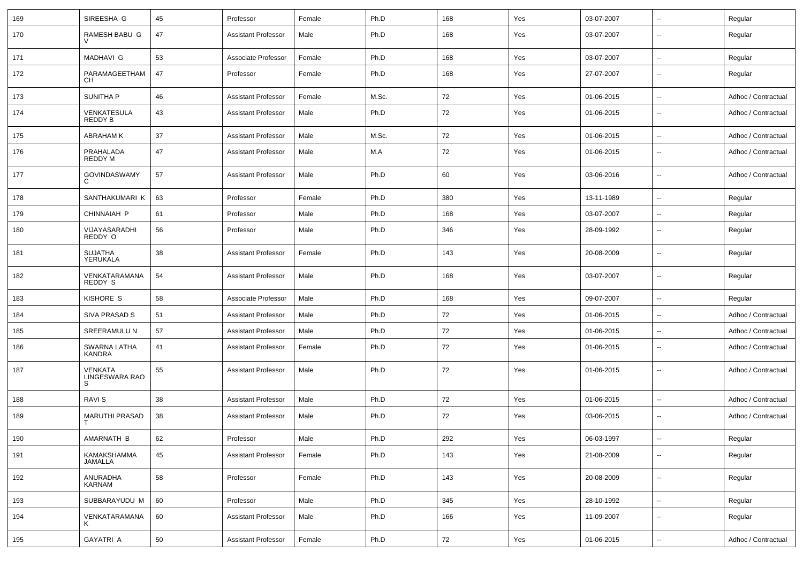| 169 | SIREESHA G                     | 45 | Professor                  | Female | Ph.D  | 168 | Yes | 03-07-2007 | $\overline{\phantom{a}}$ | Regular             |
|-----|--------------------------------|----|----------------------------|--------|-------|-----|-----|------------|--------------------------|---------------------|
| 170 | RAMESH BABU G                  | 47 | <b>Assistant Professor</b> | Male   | Ph.D  | 168 | Yes | 03-07-2007 | $\overline{\phantom{a}}$ | Regular             |
| 171 | <b>MADHAVI G</b>               | 53 | Associate Professor        | Female | Ph.D  | 168 | Yes | 03-07-2007 | $\overline{\phantom{a}}$ | Regular             |
| 172 | PARAMAGEETHAM<br>CН            | 47 | Professor                  | Female | Ph.D  | 168 | Yes | 27-07-2007 | $\mathbf{u}$             | Regular             |
| 173 | SUNITHA P                      | 46 | <b>Assistant Professor</b> | Female | M.Sc. | 72  | Yes | 01-06-2015 | $\sim$                   | Adhoc / Contractual |
| 174 | VENKATESULA<br>REDDY B         | 43 | <b>Assistant Professor</b> | Male   | Ph.D  | 72  | Yes | 01-06-2015 | $\overline{\phantom{a}}$ | Adhoc / Contractual |
| 175 | ABRAHAM K                      | 37 | <b>Assistant Professor</b> | Male   | M.Sc. | 72  | Yes | 01-06-2015 | $\overline{\phantom{a}}$ | Adhoc / Contractual |
| 176 | PRAHALADA<br>REDDY M           | 47 | <b>Assistant Professor</b> | Male   | M.A   | 72  | Yes | 01-06-2015 | $\overline{\phantom{a}}$ | Adhoc / Contractual |
| 177 | <b>GOVINDASWAMY</b><br>C       | 57 | <b>Assistant Professor</b> | Male   | Ph.D  | 60  | Yes | 03-06-2016 | $\overline{\phantom{a}}$ | Adhoc / Contractual |
| 178 | SANTHAKUMARI K                 | 63 | Professor                  | Female | Ph.D  | 380 | Yes | 13-11-1989 | $\overline{\phantom{a}}$ | Regular             |
| 179 | CHINNAIAH P                    | 61 | Professor                  | Male   | Ph.D  | 168 | Yes | 03-07-2007 | $\overline{\phantom{a}}$ | Regular             |
| 180 | VIJAYASARADHI<br>REDDY O       | 56 | Professor                  | Male   | Ph.D  | 346 | Yes | 28-09-1992 | $\overline{\phantom{a}}$ | Regular             |
| 181 | <b>SUJATHA</b><br>YERUKALA     | 38 | <b>Assistant Professor</b> | Female | Ph.D  | 143 | Yes | 20-08-2009 | $\overline{\phantom{a}}$ | Regular             |
| 182 | VENKATARAMANA<br>REDDY S       | 54 | <b>Assistant Professor</b> | Male   | Ph.D  | 168 | Yes | 03-07-2007 | $\overline{\phantom{a}}$ | Regular             |
| 183 | KISHORE S                      | 58 | Associate Professor        | Male   | Ph.D  | 168 | Yes | 09-07-2007 | $\overline{\phantom{a}}$ | Regular             |
| 184 | <b>SIVA PRASAD S</b>           | 51 | <b>Assistant Professor</b> | Male   | Ph.D  | 72  | Yes | 01-06-2015 | $\overline{\phantom{a}}$ | Adhoc / Contractual |
| 185 | SREERAMULU N                   | 57 | <b>Assistant Professor</b> | Male   | Ph.D  | 72  | Yes | 01-06-2015 | $\overline{\phantom{a}}$ | Adhoc / Contractual |
| 186 | SWARNA LATHA<br>KANDRA         | 41 | <b>Assistant Professor</b> | Female | Ph.D  | 72  | Yes | 01-06-2015 | $\overline{\phantom{a}}$ | Adhoc / Contractual |
| 187 | VENKATA<br>LINGESWARA RAO<br>S | 55 | <b>Assistant Professor</b> | Male   | Ph.D  | 72  | Yes | 01-06-2015 | $\overline{\phantom{a}}$ | Adhoc / Contractual |
| 188 | <b>RAVIS</b>                   | 38 | <b>Assistant Professor</b> | Male   | Ph.D  | 72  | Yes | 01-06-2015 | $\overline{\phantom{a}}$ | Adhoc / Contractual |
| 189 | MARUTHI PRASAD                 | 38 | <b>Assistant Professor</b> | Male   | Ph.D  | 72  | Yes | 03-06-2015 | $\overline{\phantom{a}}$ | Adhoc / Contractual |
| 190 | AMARNATH B                     | 62 | Professor                  | Male   | Ph.D  | 292 | Yes | 06-03-1997 | ⊶.                       | Regular             |
| 191 | KAMAKSHAMMA<br>JAMALLA         | 45 | <b>Assistant Professor</b> | Female | Ph.D  | 143 | Yes | 21-08-2009 | ۰.                       | Regular             |
| 192 | ANURADHA<br>KARNAM             | 58 | Professor                  | Female | Ph.D  | 143 | Yes | 20-08-2009 | $\overline{\phantom{a}}$ | Regular             |
| 193 | SUBBARAYUDU M                  | 60 | Professor                  | Male   | Ph.D  | 345 | Yes | 28-10-1992 | $\overline{\phantom{a}}$ | Regular             |
| 194 | VENKATARAMANA<br>ĸ             | 60 | <b>Assistant Professor</b> | Male   | Ph.D  | 166 | Yes | 11-09-2007 | $\overline{\phantom{a}}$ | Regular             |
| 195 | <b>GAYATRI A</b>               | 50 | <b>Assistant Professor</b> | Female | Ph.D  | 72  | Yes | 01-06-2015 | $\overline{\phantom{a}}$ | Adhoc / Contractual |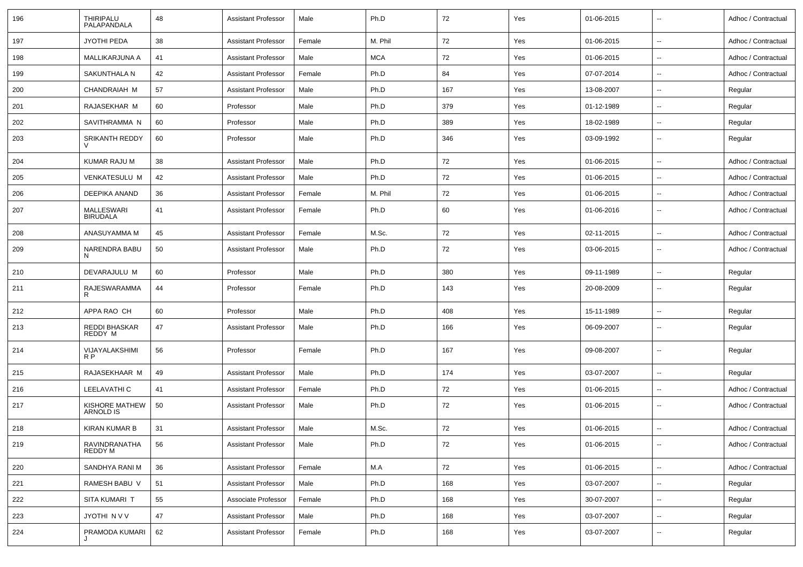| 196 | THIRIPALU<br>PALAPANDALA      | 48 | <b>Assistant Professor</b> | Male   | Ph.D       | 72     | Yes | 01-06-2015 | $\overline{\phantom{a}}$ | Adhoc / Contractual |
|-----|-------------------------------|----|----------------------------|--------|------------|--------|-----|------------|--------------------------|---------------------|
| 197 | <b>JYOTHI PEDA</b>            | 38 | <b>Assistant Professor</b> | Female | M. Phil    | 72     | Yes | 01-06-2015 | $\sim$                   | Adhoc / Contractual |
| 198 | MALLIKARJUNA A                | 41 | <b>Assistant Professor</b> | Male   | <b>MCA</b> | 72     | Yes | 01-06-2015 | $\overline{\phantom{a}}$ | Adhoc / Contractual |
| 199 | SAKUNTHALA N                  | 42 | <b>Assistant Professor</b> | Female | Ph.D       | 84     | Yes | 07-07-2014 | $\sim$                   | Adhoc / Contractual |
| 200 | CHANDRAIAH M                  | 57 | <b>Assistant Professor</b> | Male   | Ph.D       | 167    | Yes | 13-08-2007 | $\overline{\phantom{a}}$ | Regular             |
| 201 | RAJASEKHAR M                  | 60 | Professor                  | Male   | Ph.D       | 379    | Yes | 01-12-1989 | $\sim$                   | Regular             |
| 202 | SAVITHRAMMA N                 | 60 | Professor                  | Male   | Ph.D       | 389    | Yes | 18-02-1989 | $\sim$                   | Regular             |
| 203 | SRIKANTH REDDY                | 60 | Professor                  | Male   | Ph.D       | 346    | Yes | 03-09-1992 | $\overline{\phantom{a}}$ | Regular             |
| 204 | KUMAR RAJU M                  | 38 | <b>Assistant Professor</b> | Male   | Ph.D       | 72     | Yes | 01-06-2015 | $\sim$                   | Adhoc / Contractual |
| 205 | <b>VENKATESULU M</b>          | 42 | <b>Assistant Professor</b> | Male   | Ph.D       | 72     | Yes | 01-06-2015 | $\overline{\phantom{a}}$ | Adhoc / Contractual |
| 206 | DEEPIKA ANAND                 | 36 | <b>Assistant Professor</b> | Female | M. Phil    | 72     | Yes | 01-06-2015 | $\sim$                   | Adhoc / Contractual |
| 207 | MALLESWARI<br><b>BIRUDALA</b> | 41 | <b>Assistant Professor</b> | Female | Ph.D       | 60     | Yes | 01-06-2016 | $\overline{\phantom{a}}$ | Adhoc / Contractual |
| 208 | ANASUYAMMA M                  | 45 | <b>Assistant Professor</b> | Female | M.Sc.      | 72     | Yes | 02-11-2015 | $\sim$                   | Adhoc / Contractual |
| 209 | <b>NARENDRA BABU</b><br>N     | 50 | <b>Assistant Professor</b> | Male   | Ph.D       | 72     | Yes | 03-06-2015 | $\overline{\phantom{a}}$ | Adhoc / Contractual |
| 210 | DEVARAJULU M                  | 60 | Professor                  | Male   | Ph.D       | 380    | Yes | 09-11-1989 | $\overline{\phantom{a}}$ | Regular             |
| 211 | RAJESWARAMMA<br>R             | 44 | Professor                  | Female | Ph.D       | 143    | Yes | 20-08-2009 | $\sim$                   | Regular             |
| 212 | APPA RAO CH                   | 60 | Professor                  | Male   | Ph.D       | 408    | Yes | 15-11-1989 | $\sim$                   | Regular             |
| 213 | REDDI BHASKAR<br>REDDY M      | 47 | <b>Assistant Professor</b> | Male   | Ph.D       | 166    | Yes | 06-09-2007 | $\overline{\phantom{a}}$ | Regular             |
| 214 | VIJAYALAKSHIMI<br>R P         | 56 | Professor                  | Female | Ph.D       | 167    | Yes | 09-08-2007 | $\sim$                   | Regular             |
| 215 | RAJASEKHAAR M                 | 49 | <b>Assistant Professor</b> | Male   | Ph.D       | 174    | Yes | 03-07-2007 | $\sim$                   | Regular             |
| 216 | LEELAVATHI C                  | 41 | <b>Assistant Professor</b> | Female | Ph.D       | 72     | Yes | 01-06-2015 | $\overline{\phantom{a}}$ | Adhoc / Contractual |
| 217 | KISHORE MATHEW<br>ARNOLD IS   | 50 | <b>Assistant Professor</b> | Male   | Ph.D       | 72     | Yes | 01-06-2015 | $\sim$                   | Adhoc / Contractual |
| 218 | KIRAN KUMAR B                 | 31 | <b>Assistant Professor</b> | Male   | M.Sc.      | 72     | Yes | 01-06-2015 |                          | Adhoc / Contractual |
| 219 | RAVINDRANATHA<br>REDDY M      | 56 | <b>Assistant Professor</b> | Male   | Ph.D       | $72\,$ | Yes | 01-06-2015 | $\overline{\phantom{a}}$ | Adhoc / Contractual |
| 220 | SANDHYA RANI M                | 36 | <b>Assistant Professor</b> | Female | M.A        | 72     | Yes | 01-06-2015 | $\overline{\phantom{a}}$ | Adhoc / Contractual |
| 221 | RAMESH BABU V                 | 51 | <b>Assistant Professor</b> | Male   | Ph.D       | 168    | Yes | 03-07-2007 | $\sim$                   | Regular             |
| 222 | SITA KUMARI T                 | 55 | Associate Professor        | Female | Ph.D       | 168    | Yes | 30-07-2007 | $\sim$                   | Regular             |
| 223 | JYOTHI N V V                  | 47 | <b>Assistant Professor</b> | Male   | Ph.D       | 168    | Yes | 03-07-2007 | $\sim$                   | Regular             |
| 224 | PRAMODA KUMARI<br>J           | 62 | <b>Assistant Professor</b> | Female | Ph.D       | 168    | Yes | 03-07-2007 | $\overline{\phantom{a}}$ | Regular             |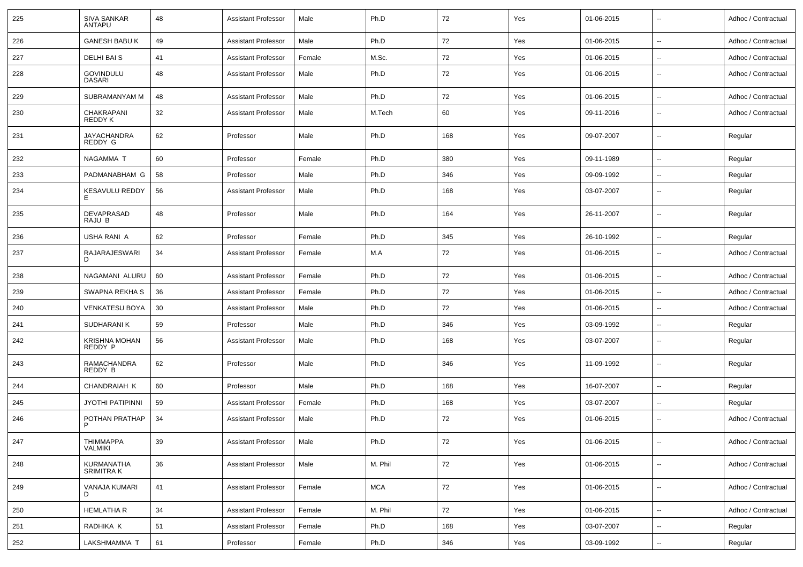| 225 | <b>SIVA SANKAR</b><br>ANTAPU      | 48 | <b>Assistant Professor</b> | Male   | Ph.D       | 72  | Yes | 01-06-2015 |                          | Adhoc / Contractual |
|-----|-----------------------------------|----|----------------------------|--------|------------|-----|-----|------------|--------------------------|---------------------|
| 226 | <b>GANESH BABU K</b>              | 49 | <b>Assistant Professor</b> | Male   | Ph.D       | 72  | Yes | 01-06-2015 | $\ddot{\phantom{a}}$     | Adhoc / Contractual |
| 227 | <b>DELHI BAI S</b>                | 41 | <b>Assistant Professor</b> | Female | M.Sc.      | 72  | Yes | 01-06-2015 | $\overline{\phantom{a}}$ | Adhoc / Contractual |
| 228 | <b>GOVINDULU</b><br><b>DASARI</b> | 48 | <b>Assistant Professor</b> | Male   | Ph.D       | 72  | Yes | 01-06-2015 | $\overline{\phantom{a}}$ | Adhoc / Contractual |
| 229 | SUBRAMANYAM M                     | 48 | <b>Assistant Professor</b> | Male   | Ph.D       | 72  | Yes | 01-06-2015 | $\overline{\phantom{a}}$ | Adhoc / Contractual |
| 230 | CHAKRAPANI<br>REDDY K             | 32 | <b>Assistant Professor</b> | Male   | M.Tech     | 60  | Yes | 09-11-2016 | н.                       | Adhoc / Contractual |
| 231 | <b>JAYACHANDRA</b><br>REDDY G     | 62 | Professor                  | Male   | Ph.D       | 168 | Yes | 09-07-2007 | н.                       | Regular             |
| 232 | NAGAMMA T                         | 60 | Professor                  | Female | Ph.D       | 380 | Yes | 09-11-1989 | н.                       | Regular             |
| 233 | PADMANABHAM G                     | 58 | Professor                  | Male   | Ph.D       | 346 | Yes | 09-09-1992 | $\overline{\phantom{a}}$ | Regular             |
| 234 | <b>KESAVULU REDDY</b><br>Е        | 56 | <b>Assistant Professor</b> | Male   | Ph.D       | 168 | Yes | 03-07-2007 | $\sim$                   | Regular             |
| 235 | DEVAPRASAD<br>RAJU B              | 48 | Professor                  | Male   | Ph.D       | 164 | Yes | 26-11-2007 | $\sim$                   | Regular             |
| 236 | USHA RANI A                       | 62 | Professor                  | Female | Ph.D       | 345 | Yes | 26-10-1992 | ÷.                       | Regular             |
| 237 | RAJARAJESWARI<br>D                | 34 | <b>Assistant Professor</b> | Female | M.A        | 72  | Yes | 01-06-2015 | н.                       | Adhoc / Contractual |
| 238 | NAGAMANI ALURU                    | 60 | <b>Assistant Professor</b> | Female | Ph.D       | 72  | Yes | 01-06-2015 | $\sim$                   | Adhoc / Contractual |
| 239 | SWAPNA REKHA S                    | 36 | <b>Assistant Professor</b> | Female | Ph.D       | 72  | Yes | 01-06-2015 | $\overline{\phantom{a}}$ | Adhoc / Contractual |
| 240 | <b>VENKATESU BOYA</b>             | 30 | <b>Assistant Professor</b> | Male   | Ph.D       | 72  | Yes | 01-06-2015 | н.                       | Adhoc / Contractual |
| 241 | SUDHARANI K                       | 59 | Professor                  | Male   | Ph.D       | 346 | Yes | 03-09-1992 | н,                       | Regular             |
| 242 | <b>KRISHNA MOHAN</b><br>REDDY P   | 56 | <b>Assistant Professor</b> | Male   | Ph.D       | 168 | Yes | 03-07-2007 | $\sim$                   | Regular             |
| 243 | RAMACHANDRA<br>REDDY B            | 62 | Professor                  | Male   | Ph.D       | 346 | Yes | 11-09-1992 | $\overline{\phantom{a}}$ | Regular             |
| 244 | CHANDRAIAH K                      | 60 | Professor                  | Male   | Ph.D       | 168 | Yes | 16-07-2007 | $\overline{\phantom{a}}$ | Regular             |
| 245 | <b>JYOTHI PATIPINNI</b>           | 59 | <b>Assistant Professor</b> | Female | Ph.D       | 168 | Yes | 03-07-2007 | н,                       | Regular             |
| 246 | POTHAN PRATHAP<br>P               | 34 | <b>Assistant Professor</b> | Male   | Ph.D       | 72  | Yes | 01-06-2015 | $\ddot{\phantom{a}}$     | Adhoc / Contractual |
| 247 | <b>THIMMAPPA</b><br>VALMIKI       | 39 | <b>Assistant Professor</b> | Male   | Ph.D       | 72  | Yes | 01-06-2015 | $\overline{\phantom{a}}$ | Adhoc / Contractual |
| 248 | KURMANATHA<br>SRIMITRA K          | 36 | <b>Assistant Professor</b> | Male   | M. Phil    | 72  | Yes | 01-06-2015 | $\overline{\phantom{a}}$ | Adhoc / Contractual |
| 249 | VANAJA KUMARI<br>D                | 41 | <b>Assistant Professor</b> | Female | <b>MCA</b> | 72  | Yes | 01-06-2015 | $\overline{\phantom{a}}$ | Adhoc / Contractual |
| 250 | <b>HEMLATHA R</b>                 | 34 | <b>Assistant Professor</b> | Female | M. Phil    | 72  | Yes | 01-06-2015 | $\overline{\phantom{a}}$ | Adhoc / Contractual |
| 251 | RADHIKA K                         | 51 | <b>Assistant Professor</b> | Female | Ph.D       | 168 | Yes | 03-07-2007 | $\overline{\phantom{a}}$ | Regular             |
| 252 | LAKSHMAMMA T                      | 61 | Professor                  | Female | Ph.D       | 346 | Yes | 03-09-1992 | $\overline{\phantom{a}}$ | Regular             |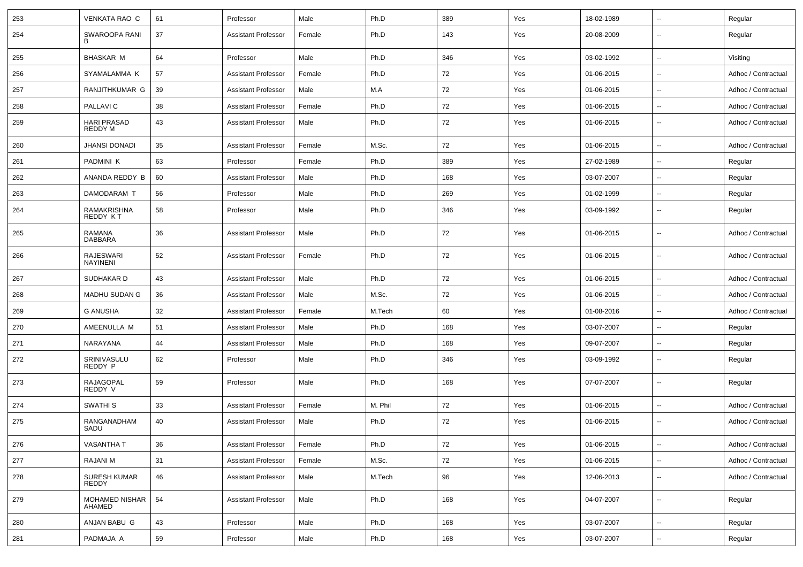| 253 | VENKATA RAO C                       | 61 | Professor                  | Male   | Ph.D    | 389 | Yes | 18-02-1989 | $\overline{\phantom{a}}$ | Regular             |
|-----|-------------------------------------|----|----------------------------|--------|---------|-----|-----|------------|--------------------------|---------------------|
| 254 | SWAROOPA RANI<br>в                  | 37 | <b>Assistant Professor</b> | Female | Ph.D    | 143 | Yes | 20-08-2009 | $\overline{\phantom{a}}$ | Regular             |
| 255 | <b>BHASKAR M</b>                    | 64 | Professor                  | Male   | Ph.D    | 346 | Yes | 03-02-1992 | $\overline{\phantom{a}}$ | Visiting            |
| 256 | SYAMALAMMA K                        | 57 | <b>Assistant Professor</b> | Female | Ph.D    | 72  | Yes | 01-06-2015 | $\overline{\phantom{a}}$ | Adhoc / Contractual |
| 257 | RANJITHKUMAR G                      | 39 | <b>Assistant Professor</b> | Male   | M.A     | 72  | Yes | 01-06-2015 | $\sim$                   | Adhoc / Contractual |
| 258 | PALLAVI C                           | 38 | <b>Assistant Professor</b> | Female | Ph.D    | 72  | Yes | 01-06-2015 | $\overline{\phantom{a}}$ | Adhoc / Contractual |
| 259 | <b>HARI PRASAD</b><br>REDDY M       | 43 | <b>Assistant Professor</b> | Male   | Ph.D    | 72  | Yes | 01-06-2015 | $\overline{\phantom{a}}$ | Adhoc / Contractual |
| 260 | <b>JHANSI DONADI</b>                | 35 | <b>Assistant Professor</b> | Female | M.Sc.   | 72  | Yes | 01-06-2015 | $\overline{\phantom{a}}$ | Adhoc / Contractual |
| 261 | PADMINI K                           | 63 | Professor                  | Female | Ph.D    | 389 | Yes | 27-02-1989 | $\overline{\phantom{a}}$ | Regular             |
| 262 | ANANDA REDDY B                      | 60 | <b>Assistant Professor</b> | Male   | Ph.D    | 168 | Yes | 03-07-2007 | $\overline{\phantom{a}}$ | Regular             |
| 263 | DAMODARAM T                         | 56 | Professor                  | Male   | Ph.D    | 269 | Yes | 01-02-1999 | --                       | Regular             |
| 264 | RAMAKRISHNA<br>REDDY KT             | 58 | Professor                  | Male   | Ph.D    | 346 | Yes | 03-09-1992 | $\sim$                   | Regular             |
| 265 | RAMANA<br><b>DABBARA</b>            | 36 | <b>Assistant Professor</b> | Male   | Ph.D    | 72  | Yes | 01-06-2015 | $\overline{\phantom{a}}$ | Adhoc / Contractual |
| 266 | <b>RAJESWARI</b><br><b>NAYINENI</b> | 52 | <b>Assistant Professor</b> | Female | Ph.D    | 72  | Yes | 01-06-2015 | $\overline{\phantom{a}}$ | Adhoc / Contractual |
| 267 | SUDHAKAR D                          | 43 | <b>Assistant Professor</b> | Male   | Ph.D    | 72  | Yes | 01-06-2015 | $\overline{\phantom{a}}$ | Adhoc / Contractual |
| 268 | MADHU SUDAN G                       | 36 | <b>Assistant Professor</b> | Male   | M.Sc.   | 72  | Yes | 01-06-2015 | --                       | Adhoc / Contractual |
| 269 | <b>G ANUSHA</b>                     | 32 | <b>Assistant Professor</b> | Female | M.Tech  | 60  | Yes | 01-08-2016 | $\overline{\phantom{a}}$ | Adhoc / Contractual |
| 270 | AMEENULLA M                         | 51 | <b>Assistant Professor</b> | Male   | Ph.D    | 168 | Yes | 03-07-2007 | $\sim$                   | Regular             |
| 271 | NARAYANA                            | 44 | <b>Assistant Professor</b> | Male   | Ph.D    | 168 | Yes | 09-07-2007 | $\overline{\phantom{a}}$ | Regular             |
| 272 | SRINIVASULU<br>REDDY P              | 62 | Professor                  | Male   | Ph.D    | 346 | Yes | 03-09-1992 | $\sim$                   | Regular             |
| 273 | RAJAGOPAL<br>REDDY V                | 59 | Professor                  | Male   | Ph.D    | 168 | Yes | 07-07-2007 | $\overline{\phantom{a}}$ | Regular             |
| 274 | <b>SWATHI S</b>                     | 33 | <b>Assistant Professor</b> | Female | M. Phil | 72  | Yes | 01-06-2015 | $\overline{\phantom{a}}$ | Adhoc / Contractual |
| 275 | RANGANADHAM<br>SADU                 | 40 | <b>Assistant Professor</b> | Male   | Ph.D    | 72  | Yes | 01-06-2015 | $\overline{\phantom{a}}$ | Adhoc / Contractual |
| 276 | <b>VASANTHA T</b>                   | 36 | <b>Assistant Professor</b> | Female | Ph.D    | 72  | Yes | 01-06-2015 | $\overline{\phantom{a}}$ | Adhoc / Contractual |
| 277 | RAJANI M                            | 31 | <b>Assistant Professor</b> | Female | M.Sc.   | 72  | Yes | 01-06-2015 | $\overline{\phantom{a}}$ | Adhoc / Contractual |
| 278 | SURESH KUMAR<br>REDDY               | 46 | <b>Assistant Professor</b> | Male   | M.Tech  | 96  | Yes | 12-06-2013 | $\overline{\phantom{a}}$ | Adhoc / Contractual |
| 279 | MOHAMED NISHAR<br>AHAMED            | 54 | <b>Assistant Professor</b> | Male   | Ph.D    | 168 | Yes | 04-07-2007 | $\overline{\phantom{a}}$ | Regular             |
| 280 | ANJAN BABU G                        | 43 | Professor                  | Male   | Ph.D    | 168 | Yes | 03-07-2007 | $\overline{\phantom{a}}$ | Regular             |
| 281 | PADMAJA A                           | 59 | Professor                  | Male   | Ph.D    | 168 | Yes | 03-07-2007 | $\overline{\phantom{a}}$ | Regular             |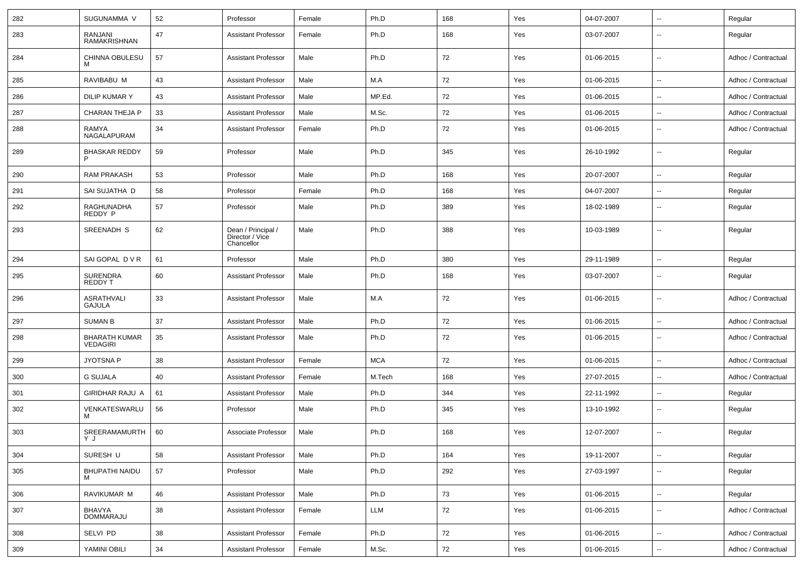| 282 | SUGUNAMMA V                             | 52 | Professor                                           | Female | Ph.D       | 168 | Yes | 04-07-2007 | $\overline{\phantom{a}}$ | Regular             |
|-----|-----------------------------------------|----|-----------------------------------------------------|--------|------------|-----|-----|------------|--------------------------|---------------------|
| 283 | RANJANI<br><b>RAMAKRISHNAN</b>          | 47 | <b>Assistant Professor</b>                          | Female | Ph.D       | 168 | Yes | 03-07-2007 | $\overline{\phantom{a}}$ | Regular             |
| 284 | CHINNA OBULESU<br>м                     | 57 | <b>Assistant Professor</b>                          | Male   | Ph.D       | 72  | Yes | 01-06-2015 | $\overline{\phantom{a}}$ | Adhoc / Contractual |
| 285 | RAVIBABU M                              | 43 | <b>Assistant Professor</b>                          | Male   | M.A        | 72  | Yes | 01-06-2015 | $\overline{\phantom{a}}$ | Adhoc / Contractual |
| 286 | DILIP KUMAR Y                           | 43 | <b>Assistant Professor</b>                          | Male   | MP.Ed.     | 72  | Yes | 01-06-2015 | $\mathbf{u}$             | Adhoc / Contractual |
| 287 | <b>CHARAN THEJA P</b>                   | 33 | <b>Assistant Professor</b>                          | Male   | M.Sc.      | 72  | Yes | 01-06-2015 | $\overline{\phantom{a}}$ | Adhoc / Contractual |
| 288 | RAMYA<br>NAGALAPURAM                    | 34 | <b>Assistant Professor</b>                          | Female | Ph.D       | 72  | Yes | 01-06-2015 | $\overline{\phantom{a}}$ | Adhoc / Contractual |
| 289 | <b>BHASKAR REDDY</b><br>P               | 59 | Professor                                           | Male   | Ph.D       | 345 | Yes | 26-10-1992 | $\overline{\phantom{a}}$ | Regular             |
| 290 | <b>RAM PRAKASH</b>                      | 53 | Professor                                           | Male   | Ph.D       | 168 | Yes | 20-07-2007 | $\overline{\phantom{a}}$ | Regular             |
| 291 | SAI SUJATHA D                           | 58 | Professor                                           | Female | Ph.D       | 168 | Yes | 04-07-2007 | $\sim$                   | Regular             |
| 292 | RAGHUNADHA<br>REDDY P                   | 57 | Professor                                           | Male   | Ph.D       | 389 | Yes | 18-02-1989 | $\overline{\phantom{a}}$ | Regular             |
| 293 | SREENADH S                              | 62 | Dean / Principal /<br>Director / Vice<br>Chancellor | Male   | Ph.D       | 388 | Yes | 10-03-1989 | $\overline{\phantom{a}}$ | Regular             |
| 294 | SAI GOPAL DVR                           | 61 | Professor                                           | Male   | Ph.D       | 380 | Yes | 29-11-1989 | $\sim$                   | Regular             |
| 295 | <b>SURENDRA</b><br><b>REDDY T</b>       | 60 | <b>Assistant Professor</b>                          | Male   | Ph.D       | 168 | Yes | 03-07-2007 | $\overline{\phantom{a}}$ | Regular             |
| 296 | ASRATHVALI<br><b>GAJULA</b>             | 33 | <b>Assistant Professor</b>                          | Male   | M.A        | 72  | Yes | 01-06-2015 | $\overline{\phantom{a}}$ | Adhoc / Contractual |
| 297 | <b>SUMAN B</b>                          | 37 | <b>Assistant Professor</b>                          | Male   | Ph.D       | 72  | Yes | 01-06-2015 | $\overline{\phantom{a}}$ | Adhoc / Contractual |
| 298 | <b>BHARATH KUMAR</b><br><b>VEDAGIRI</b> | 35 | <b>Assistant Professor</b>                          | Male   | Ph.D       | 72  | Yes | 01-06-2015 | $\overline{\phantom{a}}$ | Adhoc / Contractual |
| 299 | <b>JYOTSNA P</b>                        | 38 | <b>Assistant Professor</b>                          | Female | <b>MCA</b> | 72  | Yes | 01-06-2015 | $\overline{\phantom{a}}$ | Adhoc / Contractual |
| 300 | <b>G SUJALA</b>                         | 40 | <b>Assistant Professor</b>                          | Female | M.Tech     | 168 | Yes | 27-07-2015 | $\mathbf{u}$             | Adhoc / Contractual |
| 301 | GIRIDHAR RAJU A                         | 61 | <b>Assistant Professor</b>                          | Male   | Ph.D       | 344 | Yes | 22-11-1992 | $\overline{\phantom{a}}$ | Regular             |
| 302 | VENKATESWARLU<br>м                      | 56 | Professor                                           | Male   | Ph.D       | 345 | Yes | 13-10-1992 | $\overline{\phantom{a}}$ | Regular             |
| 303 | SREERAMAMURTH<br>YJ                     | 60 | Associate Professor                                 | Male   | Ph.D       | 168 | Yes | 12-07-2007 | $\overline{\phantom{a}}$ | Regular             |
| 304 | SURESH U                                | 58 | <b>Assistant Professor</b>                          | Male   | Ph.D       | 164 | Yes | 19-11-2007 | $\overline{\phantom{a}}$ | Regular             |
| 305 | <b>BHUPATHI NAIDU</b>                   | 57 | Professor                                           | Male   | Ph.D       | 292 | Yes | 27-03-1997 | Ξ.                       | Regular             |
| 306 | RAVIKUMAR M                             | 46 | <b>Assistant Professor</b>                          | Male   | Ph.D       | 73  | Yes | 01-06-2015 | $\overline{\phantom{a}}$ | Regular             |
| 307 | BHAVYA<br>DOMMARAJU                     | 38 | <b>Assistant Professor</b>                          | Female | LLM        | 72  | Yes | 01-06-2015 | $\overline{\phantom{a}}$ | Adhoc / Contractual |
| 308 | SELVI PD                                | 38 | <b>Assistant Professor</b>                          | Female | Ph.D       | 72  | Yes | 01-06-2015 | $\overline{\phantom{a}}$ | Adhoc / Contractual |
| 309 | YAMINI OBILI                            | 34 | Assistant Professor                                 | Female | M.Sc.      | 72  | Yes | 01-06-2015 | ۰.                       | Adhoc / Contractual |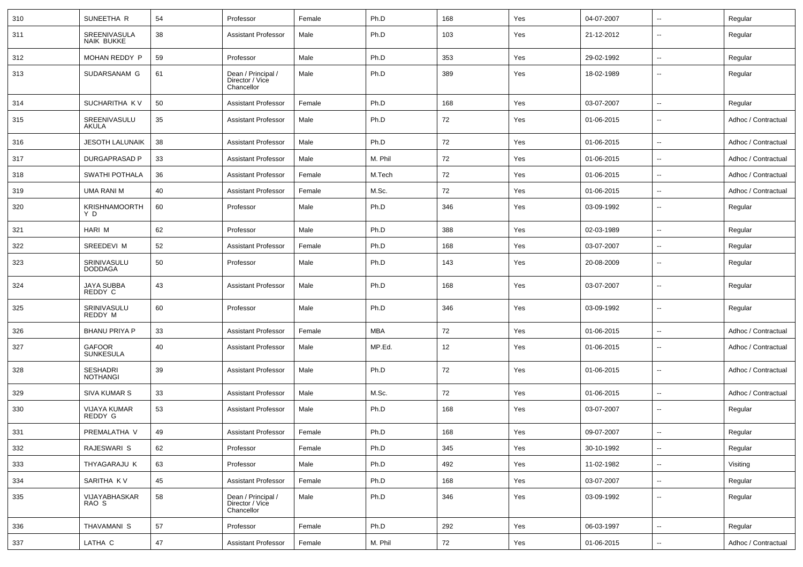| 310 | SUNEETHA R                         | 54 | Professor                                           | Female | Ph.D    | 168 | Yes | 04-07-2007 | $\sim$                   | Regular             |
|-----|------------------------------------|----|-----------------------------------------------------|--------|---------|-----|-----|------------|--------------------------|---------------------|
| 311 | SREENIVASULA<br><b>NAIK BUKKE</b>  | 38 | <b>Assistant Professor</b>                          | Male   | Ph.D    | 103 | Yes | 21-12-2012 | $\overline{\phantom{a}}$ | Regular             |
| 312 | MOHAN REDDY P                      | 59 | Professor                                           | Male   | Ph.D    | 353 | Yes | 29-02-1992 | $\overline{\phantom{a}}$ | Regular             |
| 313 | SUDARSANAM G                       | 61 | Dean / Principal /<br>Director / Vice<br>Chancellor | Male   | Ph.D    | 389 | Yes | 18-02-1989 | $\overline{\phantom{a}}$ | Regular             |
| 314 | SUCHARITHA KV                      | 50 | <b>Assistant Professor</b>                          | Female | Ph.D    | 168 | Yes | 03-07-2007 | $\overline{\phantom{a}}$ | Regular             |
| 315 | SREENIVASULU<br><b>AKULA</b>       | 35 | <b>Assistant Professor</b>                          | Male   | Ph.D    | 72  | Yes | 01-06-2015 | $\mathbf{u}$             | Adhoc / Contractual |
| 316 | <b>JESOTH LALUNAIK</b>             | 38 | <b>Assistant Professor</b>                          | Male   | Ph.D    | 72  | Yes | 01-06-2015 | $\overline{\phantom{a}}$ | Adhoc / Contractual |
| 317 | DURGAPRASAD P                      | 33 | <b>Assistant Professor</b>                          | Male   | M. Phil | 72  | Yes | 01-06-2015 | $\overline{\phantom{a}}$ | Adhoc / Contractual |
| 318 | <b>SWATHI POTHALA</b>              | 36 | <b>Assistant Professor</b>                          | Female | M.Tech  | 72  | Yes | 01-06-2015 | $\overline{\phantom{a}}$ | Adhoc / Contractual |
| 319 | UMA RANI M                         | 40 | <b>Assistant Professor</b>                          | Female | M.Sc.   | 72  | Yes | 01-06-2015 | $\mathbf{u}$             | Adhoc / Contractual |
| 320 | <b>KRISHNAMOORTH</b><br>Y D        | 60 | Professor                                           | Male   | Ph.D    | 346 | Yes | 03-09-1992 | $\overline{\phantom{a}}$ | Regular             |
| 321 | HARI M                             | 62 | Professor                                           | Male   | Ph.D    | 388 | Yes | 02-03-1989 | $\sim$                   | Regular             |
| 322 | SREEDEVI M                         | 52 | <b>Assistant Professor</b>                          | Female | Ph.D    | 168 | Yes | 03-07-2007 | $\overline{\phantom{a}}$ | Regular             |
| 323 | SRINIVASULU<br><b>DODDAGA</b>      | 50 | Professor                                           | Male   | Ph.D    | 143 | Yes | 20-08-2009 | $\mathbf{u}$             | Regular             |
| 324 | JAYA SUBBA<br>REDDY C              | 43 | <b>Assistant Professor</b>                          | Male   | Ph.D    | 168 | Yes | 03-07-2007 | $\mathbf{u}$             | Regular             |
| 325 | SRINIVASULU<br>REDDY M             | 60 | Professor                                           | Male   | Ph.D    | 346 | Yes | 03-09-1992 | $\overline{\phantom{a}}$ | Regular             |
| 326 | <b>BHANU PRIYA P</b>               | 33 | Assistant Professor                                 | Female | MBA     | 72  | Yes | 01-06-2015 | $\mathbf{u}$             | Adhoc / Contractual |
| 327 | <b>GAFOOR</b><br><b>SUNKESULA</b>  | 40 | <b>Assistant Professor</b>                          | Male   | MP.Ed.  | 12  | Yes | 01-06-2015 | $\overline{\phantom{a}}$ | Adhoc / Contractual |
| 328 | <b>SESHADRI</b><br><b>NOTHANGI</b> | 39 | <b>Assistant Professor</b>                          | Male   | Ph.D    | 72  | Yes | 01-06-2015 | $\overline{\phantom{a}}$ | Adhoc / Contractual |
| 329 | <b>SIVA KUMAR S</b>                | 33 | <b>Assistant Professor</b>                          | Male   | M.Sc.   | 72  | Yes | 01-06-2015 | $\overline{\phantom{a}}$ | Adhoc / Contractual |
| 330 | VIJAYA KUMAR<br>REDDY G            | 53 | <b>Assistant Professor</b>                          | Male   | Ph.D    | 168 | Yes | 03-07-2007 | $\overline{\phantom{a}}$ | Regular             |
| 331 | PREMALATHA V                       | 49 | <b>Assistant Professor</b>                          | Female | Ph.D    | 168 | Yes | 09-07-2007 | $\overline{\phantom{a}}$ | Regular             |
| 332 | RAJESWARI S                        | 62 | Professor                                           | Female | Ph.D    | 345 | Yes | 30-10-1992 | $\overline{\phantom{a}}$ | Regular             |
| 333 | THYAGARAJU K                       | 63 | Professor                                           | Male   | Ph.D    | 492 | Yes | 11-02-1982 | $\overline{\phantom{a}}$ | Visiting            |
| 334 | SARITHA KV                         | 45 | <b>Assistant Professor</b>                          | Female | Ph.D    | 168 | Yes | 03-07-2007 | $\overline{\phantom{a}}$ | Regular             |
| 335 | VIJAYABHASKAR<br>RAO S             | 58 | Dean / Principal /<br>Director / Vice<br>Chancellor | Male   | Ph.D    | 346 | Yes | 03-09-1992 | $\overline{\phantom{a}}$ | Regular             |
| 336 | THAVAMANI S                        | 57 | Professor                                           | Female | Ph.D    | 292 | Yes | 06-03-1997 | $\overline{\phantom{a}}$ | Regular             |
| 337 | LATHA C                            | 47 | <b>Assistant Professor</b>                          | Female | M. Phil | 72  | Yes | 01-06-2015 | $\overline{\phantom{a}}$ | Adhoc / Contractual |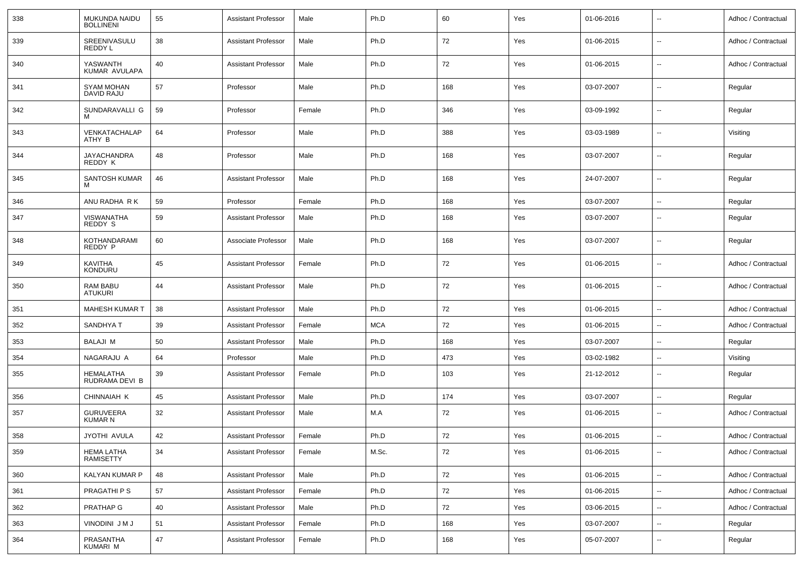| 338 | MUKUNDA NAIDU<br><b>BOLLINENI</b> | 55     | <b>Assistant Professor</b> | Male   | Ph.D       | 60       | Yes | 01-06-2016 | $\overline{\phantom{a}}$ | Adhoc / Contractual |
|-----|-----------------------------------|--------|----------------------------|--------|------------|----------|-----|------------|--------------------------|---------------------|
| 339 | SREENIVASULU<br>REDDY L           | 38     | <b>Assistant Professor</b> | Male   | Ph.D       | 72       | Yes | 01-06-2015 | $\overline{\phantom{a}}$ | Adhoc / Contractual |
| 340 | YASWANTH<br>KUMAR AVULAPA         | 40     | <b>Assistant Professor</b> | Male   | Ph.D       | 72       | Yes | 01-06-2015 | $\overline{\phantom{a}}$ | Adhoc / Contractual |
| 341 | <b>SYAM MOHAN</b><br>DAVID RAJU   | 57     | Professor                  | Male   | Ph.D       | 168      | Yes | 03-07-2007 | $\overline{\phantom{a}}$ | Regular             |
| 342 | SUNDARAVALLI G                    | 59     | Professor                  | Female | Ph.D       | 346      | Yes | 03-09-1992 | $\overline{\phantom{a}}$ | Regular             |
| 343 | VENKATACHALAP<br>ATHY B           | 64     | Professor                  | Male   | Ph.D       | 388      | Yes | 03-03-1989 | $\overline{\phantom{a}}$ | Visiting            |
| 344 | <b>JAYACHANDRA</b><br>REDDY K     | 48     | Professor                  | Male   | Ph.D       | 168      | Yes | 03-07-2007 | $\overline{\phantom{a}}$ | Regular             |
| 345 | SANTOSH KUMAR                     | 46     | <b>Assistant Professor</b> | Male   | Ph.D       | 168      | Yes | 24-07-2007 | $\sim$                   | Regular             |
| 346 | ANU RADHA R K                     | 59     | Professor                  | Female | Ph.D       | 168      | Yes | 03-07-2007 | $\overline{\phantom{a}}$ | Regular             |
| 347 | VISWANATHA<br>REDDY S             | 59     | <b>Assistant Professor</b> | Male   | Ph.D       | 168      | Yes | 03-07-2007 | $\overline{\phantom{a}}$ | Regular             |
| 348 | KOTHANDARAMI<br>REDDY P           | 60     | Associate Professor        | Male   | Ph.D       | 168      | Yes | 03-07-2007 | $\overline{\phantom{a}}$ | Regular             |
| 349 | KAVITHA<br><b>KONDURU</b>         | 45     | <b>Assistant Professor</b> | Female | Ph.D       | 72       | Yes | 01-06-2015 | $\overline{\phantom{a}}$ | Adhoc / Contractual |
| 350 | <b>RAM BABU</b><br><b>ATUKURI</b> | 44     | <b>Assistant Professor</b> | Male   | Ph.D       | 72       | Yes | 01-06-2015 | $\overline{\phantom{a}}$ | Adhoc / Contractual |
| 351 | <b>MAHESH KUMAR T</b>             | 38     | <b>Assistant Professor</b> | Male   | Ph.D       | 72       | Yes | 01-06-2015 | $\overline{\phantom{a}}$ | Adhoc / Contractual |
| 352 | <b>SANDHYAT</b>                   | 39     | <b>Assistant Professor</b> | Female | <b>MCA</b> | 72       | Yes | 01-06-2015 | $\overline{\phantom{a}}$ | Adhoc / Contractual |
| 353 | BALAJI M                          | 50     | <b>Assistant Professor</b> | Male   | Ph.D       | 168      | Yes | 03-07-2007 | $\overline{\phantom{a}}$ | Regular             |
| 354 | NAGARAJU A                        | 64     | Professor                  | Male   | Ph.D       | 473      | Yes | 03-02-1982 | $\overline{\phantom{a}}$ | Visiting            |
| 355 | HEMALATHA<br>RUDRAMA DEVI B       | 39     | <b>Assistant Professor</b> | Female | Ph.D       | 103      | Yes | 21-12-2012 | $\mathbf{u}$             | Regular             |
| 356 | CHINNAIAH K                       | 45     | <b>Assistant Professor</b> | Male   | Ph.D       | 174      | Yes | 03-07-2007 | $\sim$                   | Regular             |
| 357 | <b>GURUVEERA</b><br>KUMAR N       | 32     | <b>Assistant Professor</b> | Male   | M.A        | 72       | Yes | 01-06-2015 | $\overline{\phantom{a}}$ | Adhoc / Contractual |
| 358 | JYOTHI AVULA                      | 42     | Assistant Professor        | Female | Ph.D       | $\bf 72$ | Yes | 01-06-2015 | $\overline{\phantom{a}}$ | Adhoc / Contractual |
| 359 | <b>HEMA LATHA</b><br>RAMISETTY    | 34     | Assistant Professor        | Female | M.Sc.      | 72       | Yes | 01-06-2015 | $\overline{\phantom{a}}$ | Adhoc / Contractual |
| 360 | KALYAN KUMAR P                    | 48     | <b>Assistant Professor</b> | Male   | Ph.D       | 72       | Yes | 01-06-2015 | $\overline{\phantom{a}}$ | Adhoc / Contractual |
| 361 | PRAGATHI P S                      | 57     | <b>Assistant Professor</b> | Female | Ph.D       | 72       | Yes | 01-06-2015 | $\overline{\phantom{a}}$ | Adhoc / Contractual |
| 362 | PRATHAP G                         | 40     | <b>Assistant Professor</b> | Male   | Ph.D       | 72       | Yes | 03-06-2015 | $\sim$                   | Adhoc / Contractual |
| 363 | VINODINI J M J                    | 51     | <b>Assistant Professor</b> | Female | Ph.D       | 168      | Yes | 03-07-2007 | $\overline{\phantom{a}}$ | Regular             |
| 364 | PRASANTHA<br>KUMARI M             | $47\,$ | <b>Assistant Professor</b> | Female | Ph.D       | 168      | Yes | 05-07-2007 | $\sim$                   | Regular             |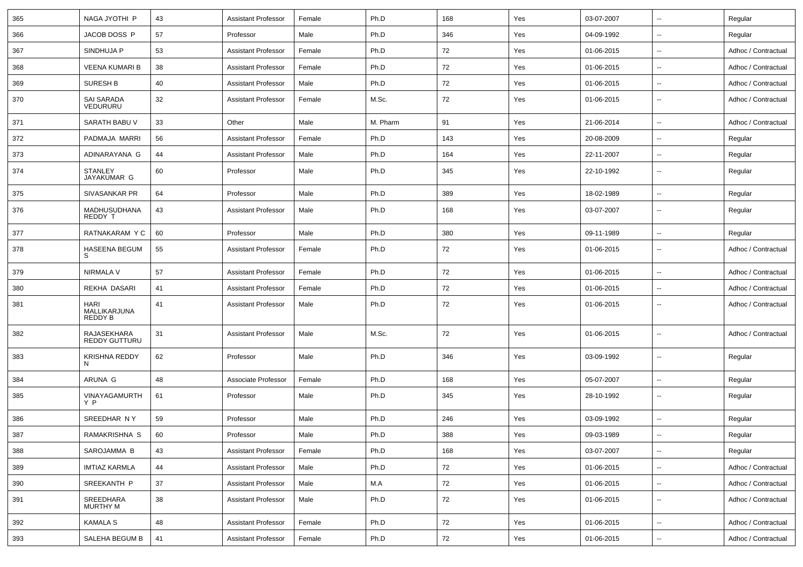| 365 | NAGA JYOTHI P                          | 43 | <b>Assistant Professor</b> | Female | Ph.D     | 168 | Yes | 03-07-2007 | $\overline{\phantom{a}}$ | Regular             |
|-----|----------------------------------------|----|----------------------------|--------|----------|-----|-----|------------|--------------------------|---------------------|
| 366 | JACOB DOSS P                           | 57 | Professor                  | Male   | Ph.D     | 346 | Yes | 04-09-1992 | $\overline{\phantom{a}}$ | Regular             |
| 367 | SINDHUJA P                             | 53 | <b>Assistant Professor</b> | Female | Ph.D     | 72  | Yes | 01-06-2015 | $\sim$                   | Adhoc / Contractual |
| 368 | <b>VEENA KUMARI B</b>                  | 38 | <b>Assistant Professor</b> | Female | Ph.D     | 72  | Yes | 01-06-2015 | --                       | Adhoc / Contractual |
| 369 | SURESH B                               | 40 | <b>Assistant Professor</b> | Male   | Ph.D     | 72  | Yes | 01-06-2015 | $\sim$                   | Adhoc / Contractual |
| 370 | <b>SAI SARADA</b><br>VEDURURU          | 32 | <b>Assistant Professor</b> | Female | M.Sc.    | 72  | Yes | 01-06-2015 | $\overline{\phantom{a}}$ | Adhoc / Contractual |
| 371 | SARATH BABU V                          | 33 | Other                      | Male   | M. Pharm | 91  | Yes | 21-06-2014 | $\overline{\phantom{a}}$ | Adhoc / Contractual |
| 372 | PADMAJA MARRI                          | 56 | <b>Assistant Professor</b> | Female | Ph.D     | 143 | Yes | 20-08-2009 | $\overline{\phantom{a}}$ | Regular             |
| 373 | ADINARAYANA G                          | 44 | <b>Assistant Professor</b> | Male   | Ph.D     | 164 | Yes | 22-11-2007 | $\overline{\phantom{a}}$ | Regular             |
| 374 | <b>STANLEY</b><br>JAYAKUMAR G          | 60 | Professor                  | Male   | Ph.D     | 345 | Yes | 22-10-1992 | $\overline{\phantom{a}}$ | Regular             |
| 375 | SIVASANKAR PR                          | 64 | Professor                  | Male   | Ph.D     | 389 | Yes | 18-02-1989 | $\overline{\phantom{a}}$ | Regular             |
| 376 | MADHUSUDHANA<br>REDDY T                | 43 | <b>Assistant Professor</b> | Male   | Ph.D     | 168 | Yes | 03-07-2007 | $\overline{\phantom{a}}$ | Regular             |
| 377 | RATNAKARAM Y C                         | 60 | Professor                  | Male   | Ph.D     | 380 | Yes | 09-11-1989 | $\overline{\phantom{a}}$ | Regular             |
| 378 | HASEENA BEGUM<br>S.                    | 55 | <b>Assistant Professor</b> | Female | Ph.D     | 72  | Yes | 01-06-2015 | $\overline{\phantom{a}}$ | Adhoc / Contractual |
| 379 | NIRMALA V                              | 57 | <b>Assistant Professor</b> | Female | Ph.D     | 72  | Yes | 01-06-2015 | $\overline{\phantom{a}}$ | Adhoc / Contractual |
| 380 | REKHA DASARI                           | 41 | <b>Assistant Professor</b> | Female | Ph.D     | 72  | Yes | 01-06-2015 | $\overline{\phantom{a}}$ | Adhoc / Contractual |
| 381 | <b>HARI</b><br>MALLIKARJUNA<br>REDDY B | 41 | <b>Assistant Professor</b> | Male   | Ph.D     | 72  | Yes | 01-06-2015 | $\sim$                   | Adhoc / Contractual |
| 382 | RAJASEKHARA<br>REDDY GUTTURU           | 31 | <b>Assistant Professor</b> | Male   | M.Sc.    | 72  | Yes | 01-06-2015 | $\overline{\phantom{a}}$ | Adhoc / Contractual |
| 383 | KRISHNA REDDY<br>N                     | 62 | Professor                  | Male   | Ph.D     | 346 | Yes | 03-09-1992 | $\overline{\phantom{a}}$ | Regular             |
| 384 | ARUNA G                                | 48 | Associate Professor        | Female | Ph.D     | 168 | Yes | 05-07-2007 | $\overline{\phantom{a}}$ | Regular             |
| 385 | VINAYAGAMURTH<br>Y P                   | 61 | Professor                  | Male   | Ph.D     | 345 | Yes | 28-10-1992 | $\overline{\phantom{a}}$ | Regular             |
| 386 | SREEDHAR NY                            | 59 | Professor                  | Male   | Ph.D     | 246 | Yes | 03-09-1992 | $\sim$                   | Regular             |
| 387 | RAMAKRISHNA S                          | 60 | Professor                  | Male   | Ph.D     | 388 | Yes | 09-03-1989 | $\overline{\phantom{a}}$ | Regular             |
| 388 | SAROJAMMA B                            | 43 | <b>Assistant Professor</b> | Female | Ph.D     | 168 | Yes | 03-07-2007 | $\overline{\phantom{a}}$ | Regular             |
| 389 | <b>IMTIAZ KARMLA</b>                   | 44 | <b>Assistant Professor</b> | Male   | Ph.D     | 72  | Yes | 01-06-2015 | $\overline{\phantom{a}}$ | Adhoc / Contractual |
| 390 | SREEKANTH P                            | 37 | <b>Assistant Professor</b> | Male   | M.A      | 72  | Yes | 01-06-2015 | $\overline{\phantom{a}}$ | Adhoc / Contractual |
| 391 | SREEDHARA<br>MURTHY M                  | 38 | <b>Assistant Professor</b> | Male   | Ph.D     | 72  | Yes | 01-06-2015 | $\overline{\phantom{a}}$ | Adhoc / Contractual |
| 392 | <b>KAMALA S</b>                        | 48 | <b>Assistant Professor</b> | Female | Ph.D     | 72  | Yes | 01-06-2015 | $\overline{\phantom{a}}$ | Adhoc / Contractual |
| 393 | SALEHA BEGUM B                         | 41 | <b>Assistant Professor</b> | Female | Ph.D     | 72  | Yes | 01-06-2015 | $\overline{\phantom{a}}$ | Adhoc / Contractual |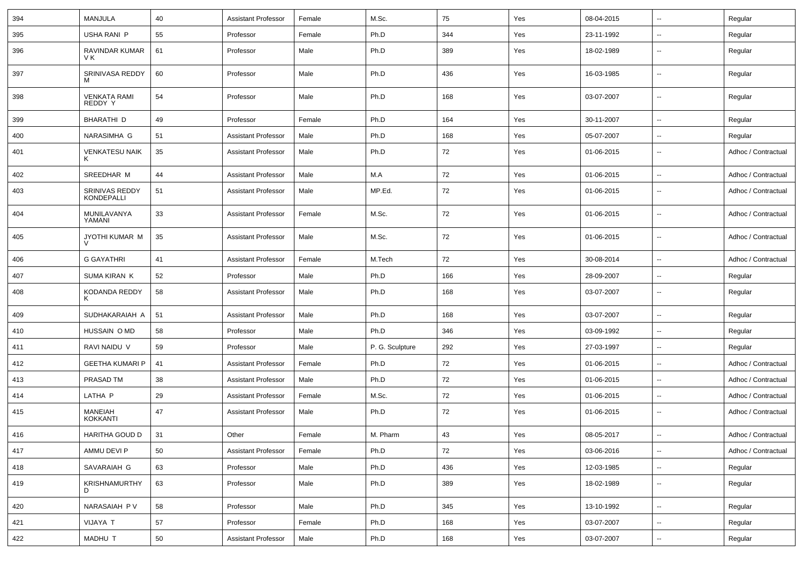| 394 | MANJULA                             | 40 | <b>Assistant Professor</b> | Female | M.Sc.           | 75  | Yes | 08-04-2015 | $\overline{\phantom{a}}$ | Regular             |
|-----|-------------------------------------|----|----------------------------|--------|-----------------|-----|-----|------------|--------------------------|---------------------|
| 395 | USHA RANI P                         | 55 | Professor                  | Female | Ph.D            | 344 | Yes | 23-11-1992 | $\overline{\phantom{a}}$ | Regular             |
| 396 | RAVINDAR KUMAR<br>V K               | 61 | Professor                  | Male   | Ph.D            | 389 | Yes | 18-02-1989 | $\overline{\phantom{a}}$ | Regular             |
| 397 | SRINIVASA REDDY<br>M                | 60 | Professor                  | Male   | Ph.D            | 436 | Yes | 16-03-1985 | $\overline{\phantom{a}}$ | Regular             |
| 398 | <b>VENKATA RAMI</b><br>REDDY Y      | 54 | Professor                  | Male   | Ph.D            | 168 | Yes | 03-07-2007 | $\overline{\phantom{a}}$ | Regular             |
| 399 | <b>BHARATHI D</b>                   | 49 | Professor                  | Female | Ph.D            | 164 | Yes | 30-11-2007 | $\overline{\phantom{a}}$ | Regular             |
| 400 | NARASIMHA G                         | 51 | <b>Assistant Professor</b> | Male   | Ph.D            | 168 | Yes | 05-07-2007 | $\overline{\phantom{a}}$ | Regular             |
| 401 | <b>VENKATESU NAIK</b><br>Κ          | 35 | <b>Assistant Professor</b> | Male   | Ph.D            | 72  | Yes | 01-06-2015 | $\overline{\phantom{a}}$ | Adhoc / Contractual |
| 402 | SREEDHAR M                          | 44 | <b>Assistant Professor</b> | Male   | M.A             | 72  | Yes | 01-06-2015 | $\overline{\phantom{a}}$ | Adhoc / Contractual |
| 403 | SRINIVAS REDDY<br><b>KONDEPALLI</b> | 51 | <b>Assistant Professor</b> | Male   | MP.Ed.          | 72  | Yes | 01-06-2015 | $\mathbf{u}$             | Adhoc / Contractual |
| 404 | MUNILAVANYA<br>YAMANI               | 33 | <b>Assistant Professor</b> | Female | M.Sc.           | 72  | Yes | 01-06-2015 | $\overline{\phantom{a}}$ | Adhoc / Contractual |
| 405 | JYOTHI KUMAR M                      | 35 | <b>Assistant Professor</b> | Male   | M.Sc.           | 72  | Yes | 01-06-2015 | $\overline{\phantom{a}}$ | Adhoc / Contractual |
| 406 | <b>G GAYATHRI</b>                   | 41 | <b>Assistant Professor</b> | Female | M.Tech          | 72  | Yes | 30-08-2014 | $\overline{\phantom{a}}$ | Adhoc / Contractual |
| 407 | <b>SUMA KIRAN K</b>                 | 52 | Professor                  | Male   | Ph.D            | 166 | Yes | 28-09-2007 | $\overline{\phantom{a}}$ | Regular             |
| 408 | KODANDA REDDY<br>ĸ                  | 58 | <b>Assistant Professor</b> | Male   | Ph.D            | 168 | Yes | 03-07-2007 | $\overline{\phantom{a}}$ | Regular             |
| 409 | SUDHAKARAIAH A                      | 51 | <b>Assistant Professor</b> | Male   | Ph.D            | 168 | Yes | 03-07-2007 | $\overline{\phantom{a}}$ | Regular             |
| 410 | HUSSAIN O MD                        | 58 | Professor                  | Male   | Ph.D            | 346 | Yes | 03-09-1992 | $\mathbf{u}$             | Regular             |
| 411 | RAVI NAIDU V                        | 59 | Professor                  | Male   | P. G. Sculpture | 292 | Yes | 27-03-1997 | $\overline{\phantom{a}}$ | Regular             |
| 412 | <b>GEETHA KUMARI P</b>              | 41 | <b>Assistant Professor</b> | Female | Ph.D            | 72  | Yes | 01-06-2015 | $\overline{\phantom{a}}$ | Adhoc / Contractual |
| 413 | PRASAD TM                           | 38 | <b>Assistant Professor</b> | Male   | Ph.D            | 72  | Yes | 01-06-2015 | $\overline{\phantom{a}}$ | Adhoc / Contractual |
| 414 | LATHA P                             | 29 | <b>Assistant Professor</b> | Female | M.Sc.           | 72  | Yes | 01-06-2015 | $\overline{\phantom{a}}$ | Adhoc / Contractual |
| 415 | <b>MANEIAH</b><br><b>KOKKANTI</b>   | 47 | <b>Assistant Professor</b> | Male   | Ph.D            | 72  | Yes | 01-06-2015 | $\overline{\phantom{a}}$ | Adhoc / Contractual |
| 416 | HARITHA GOUD D                      | 31 | Other                      | Female | M. Pharm        | 43  | Yes | 08-05-2017 | $\overline{\phantom{a}}$ | Adhoc / Contractual |
| 417 | AMMU DEVI P                         | 50 | <b>Assistant Professor</b> | Female | Ph.D            | 72  | Yes | 03-06-2016 | $\overline{\phantom{a}}$ | Adhoc / Contractual |
| 418 | SAVARAIAH G                         | 63 | Professor                  | Male   | Ph.D            | 436 | Yes | 12-03-1985 | ۰.                       | Regular             |
| 419 | <b>KRISHNAMURTHY</b><br>D           | 63 | Professor                  | Male   | Ph.D            | 389 | Yes | 18-02-1989 | Ξ.                       | Regular             |
| 420 | NARASAIAH PV                        | 58 | Professor                  | Male   | Ph.D            | 345 | Yes | 13-10-1992 | $\overline{\phantom{a}}$ | Regular             |
| 421 | VIJAYA T                            | 57 | Professor                  | Female | Ph.D            | 168 | Yes | 03-07-2007 | ۰.                       | Regular             |
| 422 | MADHU T                             | 50 | <b>Assistant Professor</b> | Male   | Ph.D            | 168 | Yes | 03-07-2007 | ۰.                       | Regular             |